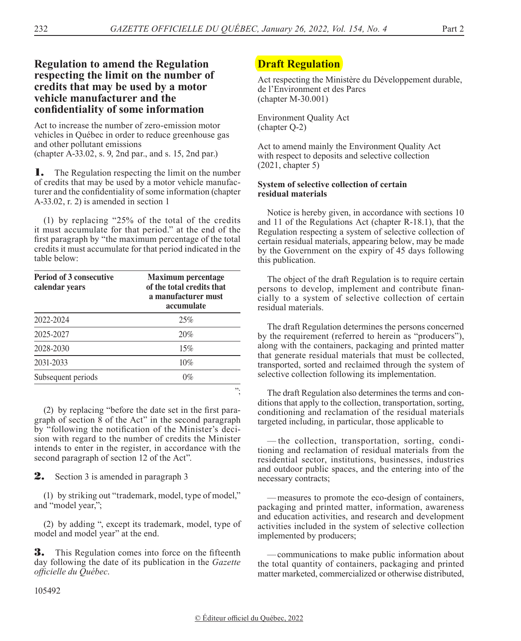# **Regulation to amend the Regulation respecting the limit on the number of credits that may be used by a motor vehicle manufacturer and the confidentiality of some information**

Act to increase the number of zero-emission motor vehicles in Québec in order to reduce greenhouse gas and other pollutant emissions (chapter A-33.02, s. 9, 2nd par., and s. 15, 2nd par.)

**1.** The Regulation respecting the limit on the number of credits that may be used by a motor vehicle manufacturer and the confidentiality of some information (chapter A-33.02, r. 2) is amended in section 1

(1) by replacing "25% of the total of the credits it must accumulate for that period." at the end of the first paragraph by "the maximum percentage of the total credits it must accumulate for that period indicated in the table below:

| <b>Period of 3 consecutive</b><br>calendar vears | <b>Maximum percentage</b><br>of the total credits that<br>a manufacturer must<br>accumulate |
|--------------------------------------------------|---------------------------------------------------------------------------------------------|
| 2022-2024                                        | 25%                                                                                         |
| 2025-2027                                        | 20%                                                                                         |
| 2028-2030                                        | 15%                                                                                         |
| 2031-2033                                        | 10%                                                                                         |
| Subsequent periods                               | $0\%$                                                                                       |
|                                                  | ".                                                                                          |

(2) by replacing "before the date set in the first paragraph of section 8 of the Act" in the second paragraph by "following the notification of the Minister's decision with regard to the number of credits the Minister intends to enter in the register, in accordance with the second paragraph of section 12 of the Act".

**2.** Section 3 is amended in paragraph 3

(1) by striking out "trademark, model, type of model," and "model year,";

(2) by adding ", except its trademark, model, type of model and model year" at the end.

**3.** This Regulation comes into force on the fifteenth day following the date of its publication in the *Gazette officielle du Québec*.

# **Draft Regulation**

Act respecting the Ministère du Développement durable, de l'Environment et des Parcs (chapter M-30.001)

Environment Quality Act (chapter Q-2)

Act to amend mainly the Environment Quality Act with respect to deposits and selective collection (2021, chapter 5)

## **System of selective collection of certain residual materials**

Notice is hereby given, in accordance with sections 10 and 11 of the Regulations Act (chapter R-18.1), that the Regulation respecting a system of selective collection of certain residual materials, appearing below, may be made by the Government on the expiry of 45 days following this publication.

The object of the draft Regulation is to require certain persons to develop, implement and contribute financially to a system of selective collection of certain residual materials.

The draft Regulation determines the persons concerned by the requirement (referred to herein as "producers"), along with the containers, packaging and printed matter that generate residual materials that must be collected, transported, sorted and reclaimed through the system of selective collection following its implementation.

The draft Regulation also determines the terms and conditions that apply to the collection, transportation, sorting, conditioning and reclamation of the residual materials targeted including, in particular, those applicable to

— the collection, transportation, sorting, conditioning and reclamation of residual materials from the residential sector, institutions, businesses, industries and outdoor public spaces, and the entering into of the necessary contracts;

—measures to promote the eco-design of containers, packaging and printed matter, information, awareness and education activities, and research and development activities included in the system of selective collection implemented by producers;

—communications to make public information about the total quantity of containers, packaging and printed matter marketed, commercialized or otherwise distributed,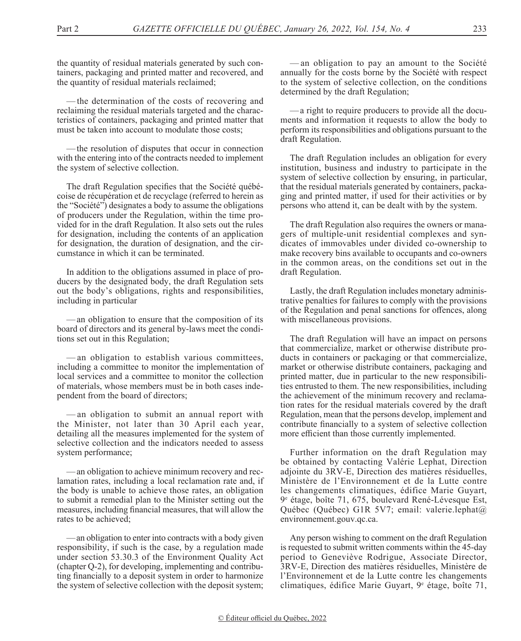the quantity of residual materials generated by such containers, packaging and printed matter and recovered, and the quantity of residual materials reclaimed;

—the determination of the costs of recovering and reclaiming the residual materials targeted and the characteristics of containers, packaging and printed matter that must be taken into account to modulate those costs;

—the resolution of disputes that occur in connection with the entering into of the contracts needed to implement the system of selective collection.

The draft Regulation specifies that the Société québécoise de récupération et de recyclage (referred to herein as the "Société") designates a body to assume the obligations of producers under the Regulation, within the time provided for in the draft Regulation. It also sets out the rules for designation, including the contents of an application for designation, the duration of designation, and the circumstance in which it can be terminated.

In addition to the obligations assumed in place of producers by the designated body, the draft Regulation sets out the body's obligations, rights and responsibilities, including in particular

—an obligation to ensure that the composition of its board of directors and its general by-laws meet the conditions set out in this Regulation;

— an obligation to establish various committees, including a committee to monitor the implementation of local services and a committee to monitor the collection of materials, whose members must be in both cases independent from the board of directors;

— an obligation to submit an annual report with the Minister, not later than 30 April each year, detailing all the measures implemented for the system of selective collection and the indicators needed to assess system performance;

—an obligation to achieve minimum recovery and reclamation rates, including a local reclamation rate and, if the body is unable to achieve those rates, an obligation to submit a remedial plan to the Minister setting out the measures, including financial measures, that will allow the rates to be achieved;

—an obligation to enter into contracts with a body given responsibility, if such is the case, by a regulation made under section 53.30.3 of the Environment Quality Act (chapter Q-2), for developing, implementing and contributing financially to a deposit system in order to harmonize the system of selective collection with the deposit system;

— an obligation to pay an amount to the Société annually for the costs borne by the Société with respect to the system of selective collection, on the conditions determined by the draft Regulation;

—a right to require producers to provide all the documents and information it requests to allow the body to perform its responsibilities and obligations pursuant to the draft Regulation.

The draft Regulation includes an obligation for every institution, business and industry to participate in the system of selective collection by ensuring, in particular, that the residual materials generated by containers, packaging and printed matter, if used for their activities or by persons who attend it, can be dealt with by the system.

The draft Regulation also requires the owners or managers of multiple-unit residential complexes and syndicates of immovables under divided co-ownership to make recovery bins available to occupants and co-owners in the common areas, on the conditions set out in the draft Regulation.

Lastly, the draft Regulation includes monetary administrative penalties for failures to comply with the provisions of the Regulation and penal sanctions for offences, along with miscellaneous provisions.

The draft Regulation will have an impact on persons that commercialize, market or otherwise distribute products in containers or packaging or that commercialize, market or otherwise distribute containers, packaging and printed matter, due in particular to the new responsibilities entrusted to them. The new responsibilities, including the achievement of the minimum recovery and reclamation rates for the residual materials covered by the draft Regulation, mean that the persons develop, implement and contribute financially to a system of selective collection more efficient than those currently implemented.

Further information on the draft Regulation may be obtained by contacting Valérie Lephat, Direction adjointe du 3RV-E, Direction des matières résiduelles, Ministère de l'Environnement et de la Lutte contre les changements climatiques, édifice Marie Guyart, 9e étage, boîte 71, 675, boulevard René-Lévesque Est, Québec (Québec) G1R 5V7; email: valerie.lephat@ environnement.gouv.qc.ca.

Any person wishing to comment on the draft Regulation is requested to submit written comments within the 45-day period to Geneviève Rodrigue, Associate Director, 3RV-E, Direction des matières résiduelles, Ministère de l'Environnement et de la Lutte contre les changements climatiques, édifice Marie Guyart, 9e étage, boîte 71,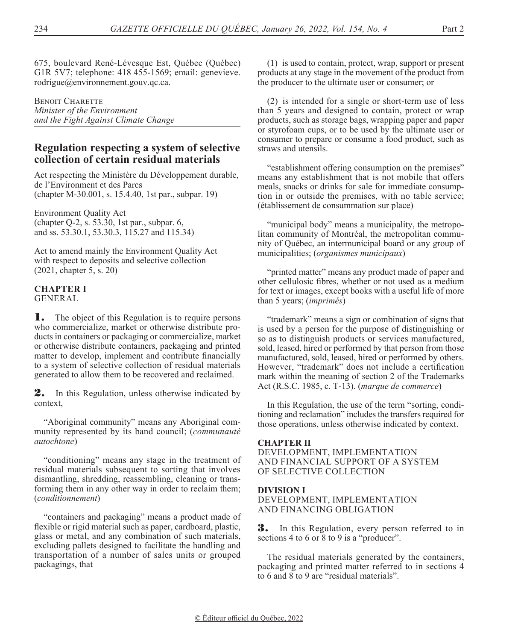675, boulevard René-Lévesque Est, Québec (Québec) G1R 5V7; telephone: 418 455-1569; email: genevieve. rodrigue@environnement.gouv.qc.ca.

**BENOIT CHARETTE** *Minister of the Environment and the Fight Against Climate Change*

## **Regulation respecting a system of selective collection of certain residual materials**

Act respecting the Ministère du Développement durable, de l'Environment et des Parcs (chapter M-30.001, s. 15.4.40, 1st par., subpar. 19)

Environment Quality Act (chapter Q-2, s. 53.30, 1st par., subpar. 6, and ss. 53.30.1, 53.30.3, 115.27 and 115.34)

Act to amend mainly the Environment Quality Act with respect to deposits and selective collection (2021, chapter 5, s. 20)

#### **CHAPTER I** GENERAL

**1.** The object of this Regulation is to require persons who commercialize, market or otherwise distribute products in containers or packaging or commercialize, market or otherwise distribute containers, packaging and printed matter to develop, implement and contribute financially to a system of selective collection of residual materials generated to allow them to be recovered and reclaimed.

2. In this Regulation, unless otherwise indicated by context,

"Aboriginal community" means any Aboriginal community represented by its band council; (*communauté autochtone*)

"conditioning" means any stage in the treatment of residual materials subsequent to sorting that involves dismantling, shredding, reassembling, cleaning or transforming them in any other way in order to reclaim them; (*conditionnement*)

"containers and packaging" means a product made of flexible or rigid material such as paper, cardboard, plastic, glass or metal, and any combination of such materials, excluding pallets designed to facilitate the handling and transportation of a number of sales units or grouped packagings, that

(1) is used to contain, protect, wrap, support or present products at any stage in the movement of the product from the producer to the ultimate user or consumer; or

(2) is intended for a single or short-term use of less than 5 years and designed to contain, protect or wrap products, such as storage bags, wrapping paper and paper or styrofoam cups, or to be used by the ultimate user or consumer to prepare or consume a food product, such as straws and utensils.

"establishment offering consumption on the premises" means any establishment that is not mobile that offers meals, snacks or drinks for sale for immediate consumption in or outside the premises, with no table service; (établissement de consummation sur place)

"municipal body" means a municipality, the metropolitan community of Montréal, the metropolitan community of Québec, an intermunicipal board or any group of municipalities; (*organismes municipaux*)

"printed matter" means any product made of paper and other cellulosic fibres, whether or not used as a medium for text or images, except books with a useful life of more than 5 years; (*imprimés*)

"trademark" means a sign or combination of signs that is used by a person for the purpose of distinguishing or so as to distinguish products or services manufactured, sold, leased, hired or performed by that person from those manufactured, sold, leased, hired or performed by others. However, "trademark" does not include a certification mark within the meaning of section 2 of the Trademarks Act (R.S.C. 1985, c. T-13). (*marque de commerce*)

In this Regulation, the use of the term "sorting, conditioning and reclamation" includes the transfers required for those operations, unless otherwise indicated by context.

## **CHAPTER II**

DEVELOPMENT, IMPLEMENTATION AND FINANCIAL SUPPORT OF A SYSTEM OF SELECTIVE COLLECTION

## **DIVISION I**

DEVELOPMENT, IMPLEMENTATION AND FINANCING OBLIGATION

**3.** In this Regulation, every person referred to in sections 4 to 6 or 8 to 9 is a "producer".

The residual materials generated by the containers, packaging and printed matter referred to in sections 4 to 6 and 8 to 9 are "residual materials".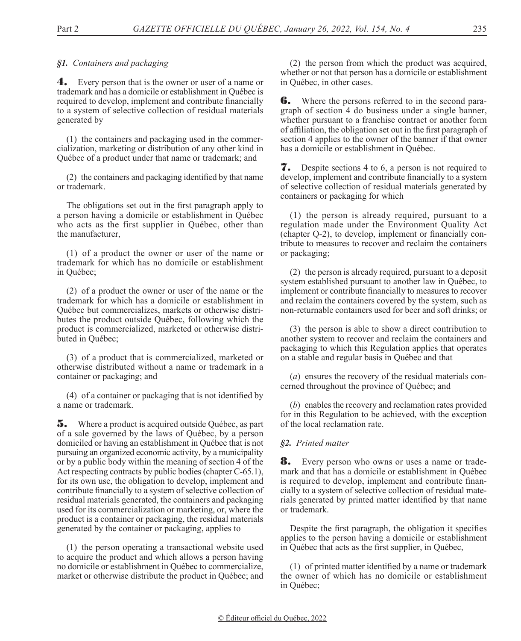## *§1. Containers and packaging*

4. Every person that is the owner or user of a name or trademark and has a domicile or establishment in Québec is required to develop, implement and contribute financially to a system of selective collection of residual materials generated by

(1) the containers and packaging used in the commercialization, marketing or distribution of any other kind in Québec of a product under that name or trademark; and

(2) the containers and packaging identified by that name or trademark.

The obligations set out in the first paragraph apply to a person having a domicile or establishment in Québec who acts as the first supplier in Québec, other than the manufacturer,

(1) of a product the owner or user of the name or trademark for which has no domicile or establishment in Québec;

(2) of a product the owner or user of the name or the trademark for which has a domicile or establishment in Québec but commercializes, markets or otherwise distributes the product outside Québec, following which the product is commercialized, marketed or otherwise distributed in Québec;

(3) of a product that is commercialized, marketed or otherwise distributed without a name or trademark in a container or packaging; and

(4) of a container or packaging that is not identified by a name or trademark.

5. Where a product is acquired outside Québec, as part of a sale governed by the laws of Québec, by a person domiciled or having an establishment in Québec that is not pursuing an organized economic activity, by a municipality or by a public body within the meaning of section 4 of the Act respecting contracts by public bodies (chapter C-65.1), for its own use, the obligation to develop, implement and contribute financially to a system of selective collection of residual materials generated, the containers and packaging used for its commercialization or marketing, or, where the product is a container or packaging, the residual materials generated by the container or packaging, applies to

(1) the person operating a transactional website used to acquire the product and which allows a person having no domicile or establishment in Québec to commercialize, market or otherwise distribute the product in Québec; and

(2) the person from which the product was acquired, whether or not that person has a domicile or establishment in Québec, in other cases.

**6.** Where the persons referred to in the second paragraph of section 4 do business under a single banner, whether pursuant to a franchise contract or another form of affiliation, the obligation set out in the first paragraph of section 4 applies to the owner of the banner if that owner has a domicile or establishment in Québec.

**7.** Despite sections 4 to 6, a person is not required to develop, implement and contribute financially to a system of selective collection of residual materials generated by containers or packaging for which

(1) the person is already required, pursuant to a regulation made under the Environment Quality Act (chapter Q-2), to develop, implement or financially contribute to measures to recover and reclaim the containers or packaging;

(2) the person is already required, pursuant to a deposit system established pursuant to another law in Québec, to implement or contribute financially to measures to recover and reclaim the containers covered by the system, such as non-returnable containers used for beer and soft drinks; or

(3) the person is able to show a direct contribution to another system to recover and reclaim the containers and packaging to which this Regulation applies that operates on a stable and regular basis in Québec and that

(*a*) ensures the recovery of the residual materials concerned throughout the province of Québec; and

(*b*) enables the recovery and reclamation rates provided for in this Regulation to be achieved, with the exception of the local reclamation rate.

## *§2. Printed matter*

8. Every person who owns or uses a name or trademark and that has a domicile or establishment in Québec is required to develop, implement and contribute financially to a system of selective collection of residual materials generated by printed matter identified by that name or trademark.

Despite the first paragraph, the obligation it specifies applies to the person having a domicile or establishment in Québec that acts as the first supplier, in Québec,

(1) of printed matter identified by a name or trademark the owner of which has no domicile or establishment in Québec;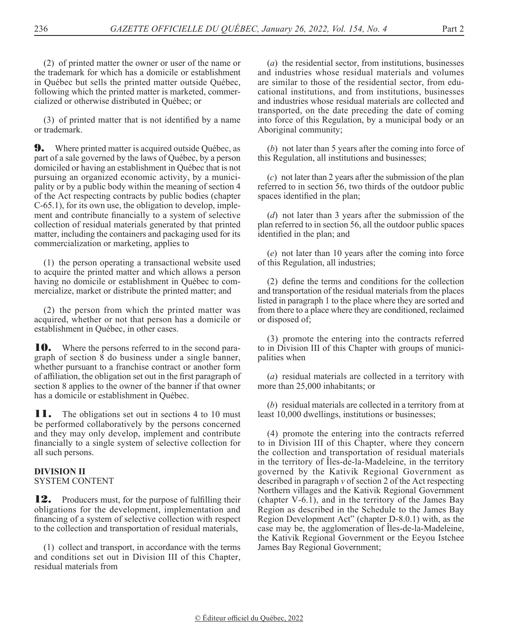(3) of printed matter that is not identified by a name or trademark.

following which the printed matter is marketed, commer-

cialized or otherwise distributed in Québec; or

**9.** Where printed matter is acquired outside Québec, as part of a sale governed by the laws of Québec, by a person domiciled or having an establishment in Québec that is not pursuing an organized economic activity, by a municipality or by a public body within the meaning of section 4 of the Act respecting contracts by public bodies (chapter C-65.1), for its own use, the obligation to develop, implement and contribute financially to a system of selective collection of residual materials generated by that printed matter, including the containers and packaging used for its commercialization or marketing, applies to

(1) the person operating a transactional website used to acquire the printed matter and which allows a person having no domicile or establishment in Québec to commercialize, market or distribute the printed matter; and

(2) the person from which the printed matter was acquired, whether or not that person has a domicile or establishment in Québec, in other cases.

**10.** Where the persons referred to in the second paragraph of section 8 do business under a single banner, whether pursuant to a franchise contract or another form of affiliation, the obligation set out in the first paragraph of section 8 applies to the owner of the banner if that owner has a domicile or establishment in Québec.

**11.** The obligations set out in sections 4 to 10 must be performed collaboratively by the persons concerned and they may only develop, implement and contribute financially to a single system of selective collection for all such persons.

## **DIVISION II** SYSTEM CONTENT

**12.** Producers must, for the purpose of fulfilling their obligations for the development, implementation and financing of a system of selective collection with respect to the collection and transportation of residual materials,

(1) collect and transport, in accordance with the terms and conditions set out in Division III of this Chapter, residual materials from

(*a*) the residential sector, from institutions, businesses and industries whose residual materials and volumes are similar to those of the residential sector, from educational institutions, and from institutions, businesses and industries whose residual materials are collected and transported, on the date preceding the date of coming into force of this Regulation, by a municipal body or an Aboriginal community;

(*b*) not later than 5 years after the coming into force of this Regulation, all institutions and businesses;

(*c*) not later than 2 years after the submission of the plan referred to in section 56, two thirds of the outdoor public spaces identified in the plan;

(*d*) not later than 3 years after the submission of the plan referred to in section 56, all the outdoor public spaces identified in the plan; and

(*e*) not later than 10 years after the coming into force of this Regulation, all industries;

(2) define the terms and conditions for the collection and transportation of the residual materials from the places listed in paragraph 1 to the place where they are sorted and from there to a place where they are conditioned, reclaimed or disposed of;

(3) promote the entering into the contracts referred to in Division III of this Chapter with groups of municipalities when

(*a*) residual materials are collected in a territory with more than 25,000 inhabitants; or

(*b*) residual materials are collected in a territory from at least 10,000 dwellings, institutions or businesses;

(4) promote the entering into the contracts referred to in Division III of this Chapter, where they concern the collection and transportation of residual materials in the territory of Îles-de-la-Madeleine, in the territory governed by the Kativik Regional Government as described in paragraph *v* of section 2 of the Act respecting Northern villages and the Kativik Regional Government (chapter V-6.1), and in the territory of the James Bay Region as described in the Schedule to the James Bay Region Development Act" (chapter D-8.0.1) with, as the case may be, the agglomeration of Îles-de-la-Madeleine, the Kativik Regional Government or the Eeyou Istchee James Bay Regional Government;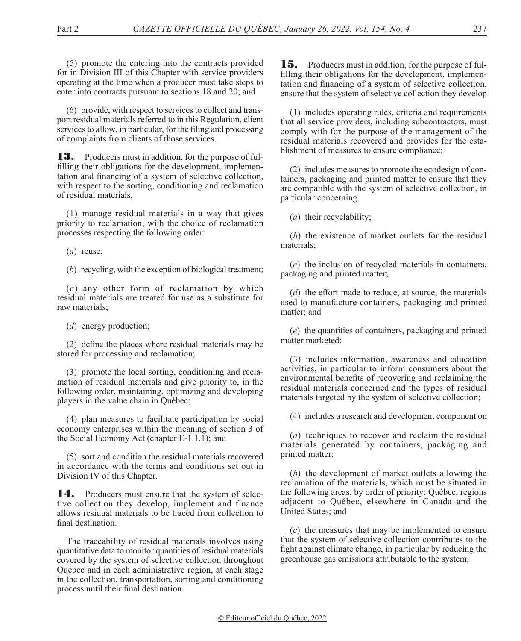(5) promote the entering into the contracts provided for in Division III of this Chapter with service providers operating at the time when a producer must take steps to enter into contracts pursuant to sections 18 and 20; and

(6) provide, with respect to services to collect and transport residual materials referred to in this Regulation, client services to allow, in particular, for the filing and processing of complaints from clients of those services.

**13.** Producers must in addition, for the purpose of fulfilling their obligations for the development, implementation and financing of a system of selective collection, with respect to the sorting, conditioning and reclamation of residual materials,

(1) manage residual materials in a way that gives priority to reclamation, with the choice of reclamation processes respecting the following order:

(*a*) reuse;

(*b*) recycling, with the exception of biological treatment;

(*c*) any other form of reclamation by which residual materials are treated for use as a substitute for raw materials;

(*d*) energy production;

(2) define the places where residual materials may be stored for processing and reclamation;

(3) promote the local sorting, conditioning and reclamation of residual materials and give priority to, in the following order, maintaining, optimizing and developing players in the value chain in Québec;

(4) plan measures to facilitate participation by social economy enterprises within the meaning of section 3 of the Social Economy Act (chapter E-1.1.1); and

(5) sort and condition the residual materials recovered in accordance with the terms and conditions set out in Division IV of this Chapter.

14. Producers must ensure that the system of selective collection they develop, implement and finance allows residual materials to be traced from collection to final destination.

The traceability of residual materials involves using quantitative data to monitor quantities of residual materials covered by the system of selective collection throughout Québec and in each administrative region, at each stage in the collection, transportation, sorting and conditioning process until their final destination.

**15.** Producers must in addition, for the purpose of fulfilling their obligations for the development, implementation and financing of a system of selective collection, ensure that the system of selective collection they develop

(1) includes operating rules, criteria and requirements that all service providers, including subcontractors, must comply with for the purpose of the management of the residual materials recovered and provides for the establishment of measures to ensure compliance;

(2) includes measures to promote the ecodesign of containers, packaging and printed matter to ensure that they are compatible with the system of selective collection, in particular concerning

(*a*) their recyclability;

(*b*) the existence of market outlets for the residual materials;

(*c*) the inclusion of recycled materials in containers, packaging and printed matter;

(*d*) the effort made to reduce, at source, the materials used to manufacture containers, packaging and printed matter; and

(*e*) the quantities of containers, packaging and printed matter marketed;

(3) includes information, awareness and education activities, in particular to inform consumers about the environmental benefits of recovering and reclaiming the residual materials concerned and the types of residual materials targeted by the system of selective collection;

(4) includes a research and development component on

(*a*) techniques to recover and reclaim the residual materials generated by containers, packaging and printed matter;

(*b*) the development of market outlets allowing the reclamation of the materials, which must be situated in the following areas, by order of priority: Québec, regions adjacent to Québec, elsewhere in Canada and the United States; and

(*c*) the measures that may be implemented to ensure that the system of selective collection contributes to the fight against climate change, in particular by reducing the greenhouse gas emissions attributable to the system;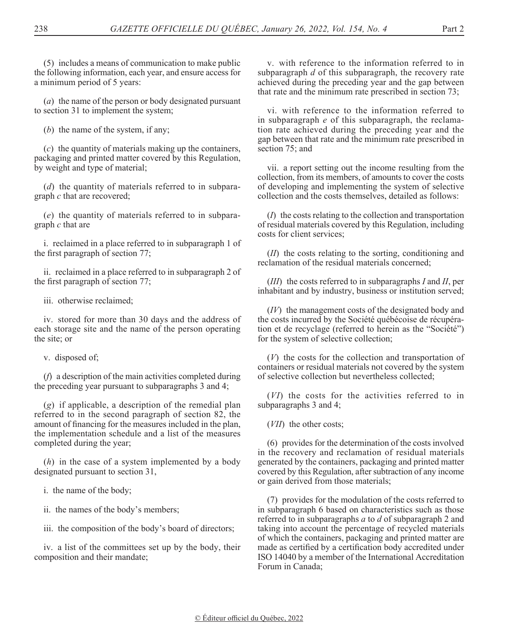(5) includes a means of communication to make public the following information, each year, and ensure access for a minimum period of 5 years:

(*a*) the name of the person or body designated pursuant to section 31 to implement the system;

(*b*) the name of the system, if any;

(*c*) the quantity of materials making up the containers, packaging and printed matter covered by this Regulation, by weight and type of material;

(*d*) the quantity of materials referred to in subparagraph *c* that are recovered;

(*e*) the quantity of materials referred to in subparagraph *c* that are

i. reclaimed in a place referred to in subparagraph 1 of the first paragraph of section 77;

ii. reclaimed in a place referred to in subparagraph 2 of the first paragraph of section 77;

iii. otherwise reclaimed;

iv. stored for more than 30 days and the address of each storage site and the name of the person operating the site; or

v. disposed of;

(*f*) a description of the main activities completed during the preceding year pursuant to subparagraphs 3 and 4;

(*g*) if applicable, a description of the remedial plan referred to in the second paragraph of section 82, the amount of financing for the measures included in the plan, the implementation schedule and a list of the measures completed during the year;

(*h*) in the case of a system implemented by a body designated pursuant to section 31,

i. the name of the body;

ii. the names of the body's members;

iii. the composition of the body's board of directors;

iv. a list of the committees set up by the body, their composition and their mandate;

v. with reference to the information referred to in subparagraph *d* of this subparagraph, the recovery rate achieved during the preceding year and the gap between that rate and the minimum rate prescribed in section 73;

vi. with reference to the information referred to in subparagraph *e* of this subparagraph, the reclamation rate achieved during the preceding year and the gap between that rate and the minimum rate prescribed in section 75; and

vii. a report setting out the income resulting from the collection, from its members, of amounts to cover the costs of developing and implementing the system of selective collection and the costs themselves, detailed as follows:

(*I*) the costs relating to the collection and transportation of residual materials covered by this Regulation, including costs for client services;

(*II*) the costs relating to the sorting, conditioning and reclamation of the residual materials concerned;

(*III*) the costs referred to in subparagraphs *I* and *II*, per inhabitant and by industry, business or institution served;

(*IV*) the management costs of the designated body and the costs incurred by the Société québécoise de récupération et de recyclage (referred to herein as the "Société") for the system of selective collection;

(*V*) the costs for the collection and transportation of containers or residual materials not covered by the system of selective collection but nevertheless collected;

(*VI*) the costs for the activities referred to in subparagraphs 3 and 4;

(*VII*) the other costs;

(6) provides for the determination of the costs involved in the recovery and reclamation of residual materials generated by the containers, packaging and printed matter covered by this Regulation, after subtraction of any income or gain derived from those materials;

(7) provides for the modulation of the costs referred to in subparagraph 6 based on characteristics such as those referred to in subparagraphs *a* to *d* of subparagraph 2 and taking into account the percentage of recycled materials of which the containers, packaging and printed matter are made as certified by a certification body accredited under ISO 14040 by a member of the International Accreditation Forum in Canada;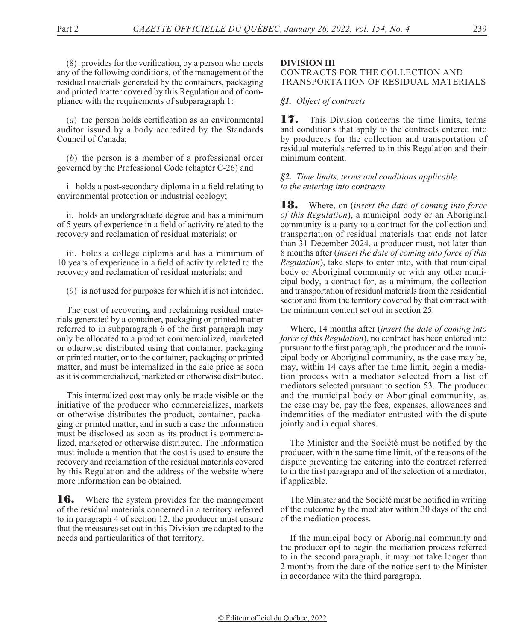(8) provides for the verification, by a person who meets any of the following conditions, of the management of the residual materials generated by the containers, packaging and printed matter covered by this Regulation and of compliance with the requirements of subparagraph 1:

(*a*) the person holds certification as an environmental auditor issued by a body accredited by the Standards Council of Canada;

(*b*) the person is a member of a professional order governed by the Professional Code (chapter C-26) and

i. holds a post-secondary diploma in a field relating to environmental protection or industrial ecology;

ii. holds an undergraduate degree and has a minimum of 5 years of experience in a field of activity related to the recovery and reclamation of residual materials; or

iii. holds a college diploma and has a minimum of 10 years of experience in a field of activity related to the recovery and reclamation of residual materials; and

(9) is not used for purposes for which it is not intended.

The cost of recovering and reclaiming residual materials generated by a container, packaging or printed matter referred to in subparagraph 6 of the first paragraph may only be allocated to a product commercialized, marketed or otherwise distributed using that container, packaging or printed matter, or to the container, packaging or printed matter, and must be internalized in the sale price as soon as it is commercialized, marketed or otherwise distributed.

This internalized cost may only be made visible on the initiative of the producer who commercializes, markets or otherwise distributes the product, container, packaging or printed matter, and in such a case the information must be disclosed as soon as its product is commercialized, marketed or otherwise distributed. The information must include a mention that the cost is used to ensure the recovery and reclamation of the residual materials covered by this Regulation and the address of the website where more information can be obtained.

**16.** Where the system provides for the management of the residual materials concerned in a territory referred to in paragraph 4 of section 12, the producer must ensure that the measures set out in this Division are adapted to the needs and particularities of that territory.

## **DIVISION III**

## CONTRACTS FOR THE COLLECTION AND TRANSPORTATION OF RESIDUAL MATERIALS

## *§1. Object of contracts*

**17.** This Division concerns the time limits, terms and conditions that apply to the contracts entered into by producers for the collection and transportation of residual materials referred to in this Regulation and their minimum content.

## *§2. Time limits, terms and conditions applicable to the entering into contracts*

18. Where, on (*insert the date of coming into force of this Regulation*), a municipal body or an Aboriginal community is a party to a contract for the collection and transportation of residual materials that ends not later than 31 December 2024, a producer must, not later than 8 months after (*insert the date of coming into force of this Regulation*), take steps to enter into, with that municipal body or Aboriginal community or with any other municipal body, a contract for, as a minimum, the collection and transportation of residual materials from the residential sector and from the territory covered by that contract with the minimum content set out in section 25.

Where, 14 months after (*insert the date of coming into force of this Regulation*), no contract has been entered into pursuant to the first paragraph, the producer and the municipal body or Aboriginal community, as the case may be, may, within 14 days after the time limit, begin a mediation process with a mediator selected from a list of mediators selected pursuant to section 53. The producer and the municipal body or Aboriginal community, as the case may be, pay the fees, expenses, allowances and indemnities of the mediator entrusted with the dispute jointly and in equal shares.

The Minister and the Société must be notified by the producer, within the same time limit, of the reasons of the dispute preventing the entering into the contract referred to in the first paragraph and of the selection of a mediator, if applicable.

The Minister and the Société must be notified in writing of the outcome by the mediator within 30 days of the end of the mediation process.

If the municipal body or Aboriginal community and the producer opt to begin the mediation process referred to in the second paragraph, it may not take longer than 2 months from the date of the notice sent to the Minister in accordance with the third paragraph.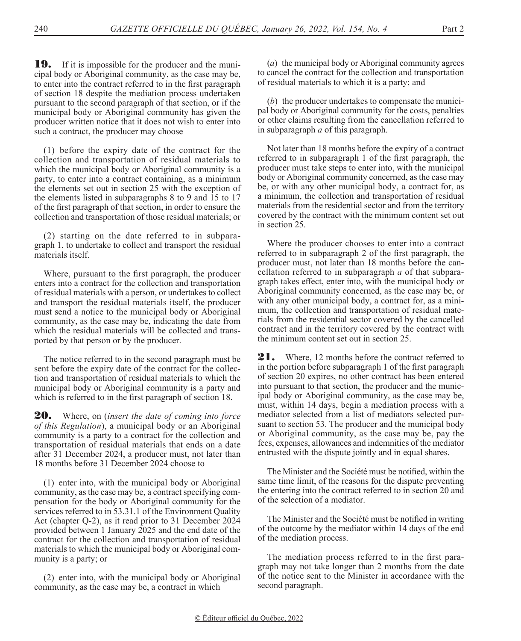**19.** If it is impossible for the producer and the municipal body or Aboriginal community, as the case may be, to enter into the contract referred to in the first paragraph of section 18 despite the mediation process undertaken pursuant to the second paragraph of that section, or if the municipal body or Aboriginal community has given the producer written notice that it does not wish to enter into such a contract, the producer may choose

(1) before the expiry date of the contract for the collection and transportation of residual materials to which the municipal body or Aboriginal community is a party, to enter into a contract containing, as a minimum the elements set out in section 25 with the exception of the elements listed in subparagraphs  $8$  to  $9$  and  $\overline{15}$  to  $17$ of the first paragraph of that section, in order to ensure the collection and transportation of those residual materials; or

(2) starting on the date referred to in subparagraph 1, to undertake to collect and transport the residual materials itself.

Where, pursuant to the first paragraph, the producer enters into a contract for the collection and transportation of residual materials with a person, or undertakes to collect and transport the residual materials itself, the producer must send a notice to the municipal body or Aboriginal community, as the case may be, indicating the date from which the residual materials will be collected and transported by that person or by the producer.

The notice referred to in the second paragraph must be sent before the expiry date of the contract for the collection and transportation of residual materials to which the municipal body or Aboriginal community is a party and which is referred to in the first paragraph of section 18.

20. Where, on (*insert the date of coming into force of this Regulation*), a municipal body or an Aboriginal community is a party to a contract for the collection and transportation of residual materials that ends on a date after 31 December 2024, a producer must, not later than 18 months before 31 December 2024 choose to

(1) enter into, with the municipal body or Aboriginal community, as the case may be, a contract specifying compensation for the body or Aboriginal community for the services referred to in 53.31.1 of the Environment Quality Act (chapter Q-2), as it read prior to 31 December 2024 provided between 1 January 2025 and the end date of the contract for the collection and transportation of residual materials to which the municipal body or Aboriginal community is a party; or

(2) enter into, with the municipal body or Aboriginal community, as the case may be, a contract in which

(*a*) the municipal body or Aboriginal community agrees to cancel the contract for the collection and transportation of residual materials to which it is a party; and

(*b*) the producer undertakes to compensate the municipal body or Aboriginal community for the costs, penalties or other claims resulting from the cancellation referred to in subparagraph *a* of this paragraph.

Not later than 18 months before the expiry of a contract referred to in subparagraph 1 of the first paragraph, the producer must take steps to enter into, with the municipal body or Aboriginal community concerned, as the case may be, or with any other municipal body, a contract for, as a minimum, the collection and transportation of residual materials from the residential sector and from the territory covered by the contract with the minimum content set out in section 25.

Where the producer chooses to enter into a contract referred to in subparagraph 2 of the first paragraph, the producer must, not later than 18 months before the cancellation referred to in subparagraph *a* of that subparagraph takes effect, enter into, with the municipal body or Aboriginal community concerned, as the case may be, or with any other municipal body, a contract for, as a minimum, the collection and transportation of residual materials from the residential sector covered by the cancelled contract and in the territory covered by the contract with the minimum content set out in section 25.

21. Where, 12 months before the contract referred to in the portion before subparagraph 1 of the first paragraph of section 20 expires, no other contract has been entered into pursuant to that section, the producer and the municipal body or Aboriginal community, as the case may be, must, within 14 days, begin a mediation process with a mediator selected from a list of mediators selected pursuant to section 53. The producer and the municipal body or Aboriginal community, as the case may be, pay the fees, expenses, allowances and indemnities of the mediator entrusted with the dispute jointly and in equal shares.

The Minister and the Société must be notified, within the same time limit, of the reasons for the dispute preventing the entering into the contract referred to in section 20 and of the selection of a mediator.

The Minister and the Société must be notified in writing of the outcome by the mediator within 14 days of the end of the mediation process.

The mediation process referred to in the first paragraph may not take longer than 2 months from the date of the notice sent to the Minister in accordance with the second paragraph.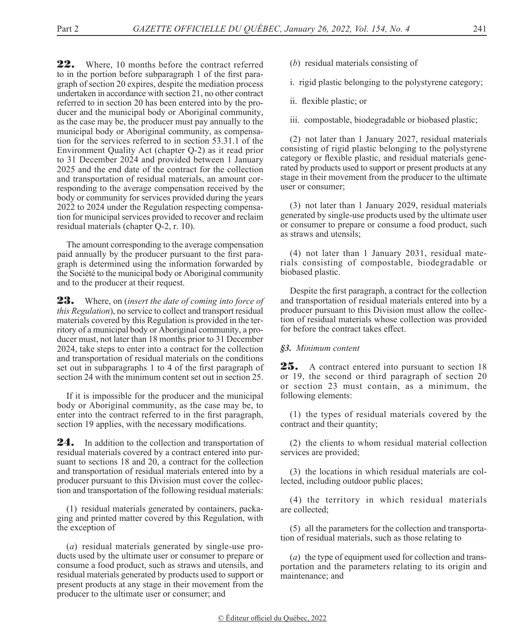22. Where, 10 months before the contract referred to in the portion before subparagraph 1 of the first paragraph of section 20 expires, despite the mediation process undertaken in accordance with section 21, no other contract referred to in section 20 has been entered into by the producer and the municipal body or Aboriginal community, as the case may be, the producer must pay annually to the municipal body or Aboriginal community, as compensation for the services referred to in section 53.31.1 of the Environment Quality Act (chapter Q-2) as it read prior to 31 December 2024 and provided between 1 January 2025 and the end date of the contract for the collection and transportation of residual materials, an amount corresponding to the average compensation received by the body or community for services provided during the years 2022 to 2024 under the Regulation respecting compensation for municipal services provided to recover and reclaim residual materials (chapter Q-2, r. 10).

The amount corresponding to the average compensation paid annually by the producer pursuant to the first paragraph is determined using the information forwarded by the Société to the municipal body or Aboriginal community and to the producer at their request.

23. Where, on (*insert the date of coming into force of this Regulation*), no service to collect and transport residual materials covered by this Regulation is provided in the territory of a municipal body or Aboriginal community, a producer must, not later than 18 months prior to 31 December 2024, take steps to enter into a contract for the collection and transportation of residual materials on the conditions set out in subparagraphs 1 to 4 of the first paragraph of section 24 with the minimum content set out in section 25.

If it is impossible for the producer and the municipal body or Aboriginal community, as the case may be, to enter into the contract referred to in the first paragraph, section 19 applies, with the necessary modifications.

**24.** In addition to the collection and transportation of residual materials covered by a contract entered into pursuant to sections 18 and 20, a contract for the collection and transportation of residual materials entered into by a producer pursuant to this Division must cover the collection and transportation of the following residual materials:

(1) residual materials generated by containers, packaging and printed matter covered by this Regulation, with the exception of

(*a*) residual materials generated by single-use products used by the ultimate user or consumer to prepare or consume a food product, such as straws and utensils, and residual materials generated by products used to support or present products at any stage in their movement from the producer to the ultimate user or consumer; and

- (*b*) residual materials consisting of
- i. rigid plastic belonging to the polystyrene category;
- ii. flexible plastic; or
- iii. compostable, biodegradable or biobased plastic;

(2) not later than 1 January 2027, residual materials consisting of rigid plastic belonging to the polystyrene category or flexible plastic, and residual materials generated by products used to support or present products at any stage in their movement from the producer to the ultimate user or consumer;

(3) not later than 1 January 2029, residual materials generated by single-use products used by the ultimate user or consumer to prepare or consume a food product, such as straws and utensils;

(4) not later than 1 January 2031, residual materials consisting of compostable, biodegradable or biobased plastic.

Despite the first paragraph, a contract for the collection and transportation of residual materials entered into by a producer pursuant to this Division must allow the collection of residual materials whose collection was provided for before the contract takes effect.

## *§3. Minimum content*

25. A contract entered into pursuant to section 18 or 19, the second or third paragraph of section 20 or section 23 must contain, as a minimum, the following elements:

(1) the types of residual materials covered by the contract and their quantity;

(2) the clients to whom residual material collection services are provided;

(3) the locations in which residual materials are collected, including outdoor public places;

(4) the territory in which residual materials are collected;

(5) all the parameters for the collection and transportation of residual materials, such as those relating to

(*a*) the type of equipment used for collection and transportation and the parameters relating to its origin and maintenance; and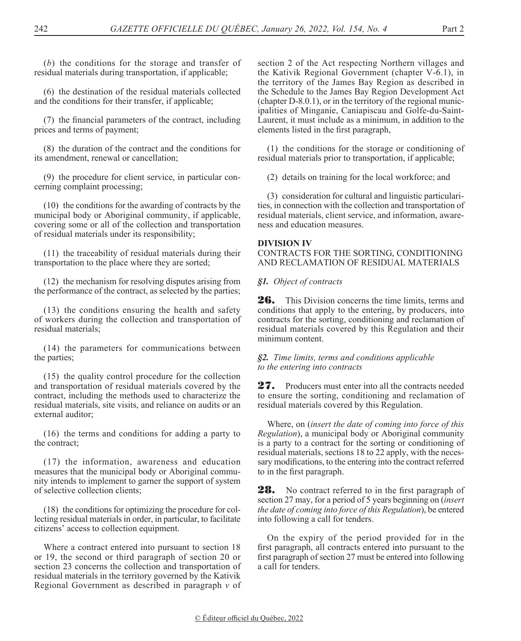(*b*) the conditions for the storage and transfer of residual materials during transportation, if applicable;

(6) the destination of the residual materials collected and the conditions for their transfer, if applicable;

(7) the financial parameters of the contract, including prices and terms of payment;

(8) the duration of the contract and the conditions for its amendment, renewal or cancellation;

(9) the procedure for client service, in particular concerning complaint processing;

(10) the conditions for the awarding of contracts by the municipal body or Aboriginal community, if applicable, covering some or all of the collection and transportation of residual materials under its responsibility;

(11) the traceability of residual materials during their transportation to the place where they are sorted;

(12) the mechanism for resolving disputes arising from the performance of the contract, as selected by the parties;

(13) the conditions ensuring the health and safety of workers during the collection and transportation of residual materials;

(14) the parameters for communications between the parties;

(15) the quality control procedure for the collection and transportation of residual materials covered by the contract, including the methods used to characterize the residual materials, site visits, and reliance on audits or an external auditor;

(16) the terms and conditions for adding a party to the contract;

(17) the information, awareness and education measures that the municipal body or Aboriginal community intends to implement to garner the support of system of selective collection clients;

(18) the conditions for optimizing the procedure for collecting residual materials in order, in particular, to facilitate citizens' access to collection equipment.

Where a contract entered into pursuant to section 18 or 19, the second or third paragraph of section 20 or section 23 concerns the collection and transportation of residual materials in the territory governed by the Kativik Regional Government as described in paragraph *v* of

section 2 of the Act respecting Northern villages and the Kativik Regional Government (chapter V-6.1), in the territory of the James Bay Region as described in the Schedule to the James Bay Region Development Act (chapter D-8.0.1), or in the territory of the regional municipalities of Minganie, Caniapiscau and Golfe-du-Saint-Laurent, it must include as a minimum, in addition to the elements listed in the first paragraph,

(1) the conditions for the storage or conditioning of residual materials prior to transportation, if applicable;

(2) details on training for the local workforce; and

(3) consideration for cultural and linguistic particularities, in connection with the collection and transportation of residual materials, client service, and information, awareness and education measures.

#### **DIVISION IV**

CONTRACTS FOR THE SORTING, CONDITIONING AND RECLAMATION OF RESIDUAL MATERIALS

*§1. Object of contracts*

**26.** This Division concerns the time limits, terms and conditions that apply to the entering, by producers, into contracts for the sorting, conditioning and reclamation of residual materials covered by this Regulation and their minimum content.

*§2. Time limits, terms and conditions applicable to the entering into contracts*

27. Producers must enter into all the contracts needed to ensure the sorting, conditioning and reclamation of residual materials covered by this Regulation.

Where, on (*insert the date of coming into force of this Regulation*), a municipal body or Aboriginal community is a party to a contract for the sorting or conditioning of residual materials, sections 18 to 22 apply, with the necessary modifications, to the entering into the contract referred to in the first paragraph.

**28.** No contract referred to in the first paragraph of section 27 may, for a period of 5 years beginning on (*insert the date of coming into force of this Regulation*), be entered into following a call for tenders.

On the expiry of the period provided for in the first paragraph, all contracts entered into pursuant to the first paragraph of section 27 must be entered into following a call for tenders.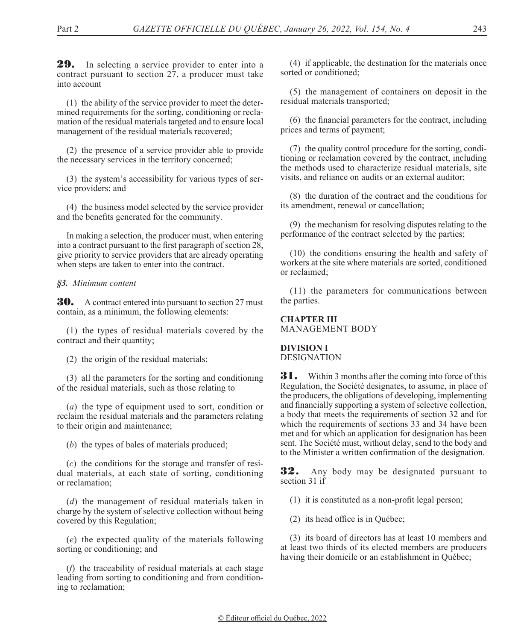**29.** In selecting a service provider to enter into a contract pursuant to section 27, a producer must take into account

(1) the ability of the service provider to meet the determined requirements for the sorting, conditioning or reclamation of the residual materials targeted and to ensure local management of the residual materials recovered;

(2) the presence of a service provider able to provide the necessary services in the territory concerned;

(3) the system's accessibility for various types of service providers; and

(4) the business model selected by the service provider and the benefits generated for the community.

In making a selection, the producer must, when entering into a contract pursuant to the first paragraph of section 28, give priority to service providers that are already operating when steps are taken to enter into the contract.

## *§3. Minimum content*

**30.** A contract entered into pursuant to section 27 must contain, as a minimum, the following elements:

(1) the types of residual materials covered by the contract and their quantity;

(2) the origin of the residual materials;

(3) all the parameters for the sorting and conditioning of the residual materials, such as those relating to

(*a*) the type of equipment used to sort, condition or reclaim the residual materials and the parameters relating to their origin and maintenance;

(*b*) the types of bales of materials produced;

(*c*) the conditions for the storage and transfer of residual materials, at each state of sorting, conditioning or reclamation;

(*d*) the management of residual materials taken in charge by the system of selective collection without being covered by this Regulation;

(*e*) the expected quality of the materials following sorting or conditioning; and

(*f*) the traceability of residual materials at each stage leading from sorting to conditioning and from conditioning to reclamation;

(4) if applicable, the destination for the materials once sorted or conditioned;

(5) the management of containers on deposit in the residual materials transported;

(6) the financial parameters for the contract, including prices and terms of payment;

(7) the quality control procedure for the sorting, conditioning or reclamation covered by the contract, including the methods used to characterize residual materials, site visits, and reliance on audits or an external auditor;

(8) the duration of the contract and the conditions for its amendment, renewal or cancellation;

(9) the mechanism for resolving disputes relating to the performance of the contract selected by the parties;

(10) the conditions ensuring the health and safety of workers at the site where materials are sorted, conditioned or reclaimed;

(11) the parameters for communications between the parties.

#### **CHAPTER III** MANAGEMENT BODY

# **DIVISION I**

DESIGNATION

**31.** Within 3 months after the coming into force of this Regulation, the Société designates, to assume, in place of the producers, the obligations of developing, implementing and financially supporting a system of selective collection, a body that meets the requirements of section 32 and for which the requirements of sections 33 and 34 have been met and for which an application for designation has been sent. The Société must, without delay, send to the body and to the Minister a written confirmation of the designation.

32. Any body may be designated pursuant to section 31 if

(1) it is constituted as a non-profit legal person;

(2) its head office is in Québec;

(3) its board of directors has at least 10 members and at least two thirds of its elected members are producers having their domicile or an establishment in Québec;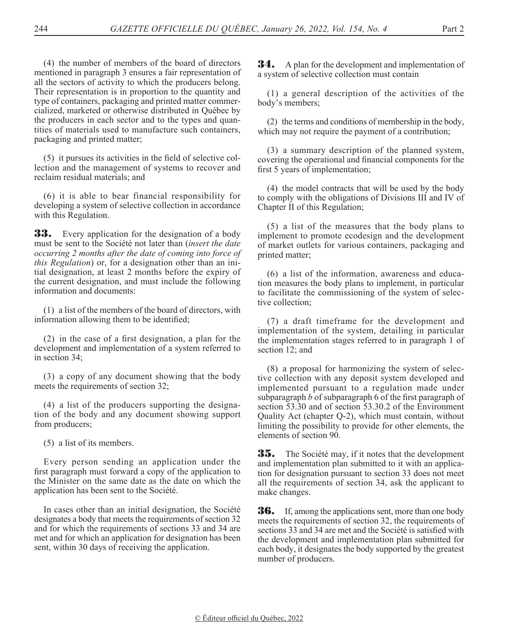(4) the number of members of the board of directors mentioned in paragraph 3 ensures a fair representation of all the sectors of activity to which the producers belong. Their representation is in proportion to the quantity and type of containers, packaging and printed matter commercialized, marketed or otherwise distributed in Québec by the producers in each sector and to the types and quantities of materials used to manufacture such containers, packaging and printed matter;

(5) it pursues its activities in the field of selective collection and the management of systems to recover and reclaim residual materials; and

(6) it is able to bear financial responsibility for developing a system of selective collection in accordance with this Regulation.

**33.** Every application for the designation of a body must be sent to the Société not later than (*insert the date occurring 2 months after the date of coming into force of this Regulation*) or, for a designation other than an initial designation, at least 2 months before the expiry of the current designation, and must include the following information and documents:

(1) a list of the members of the board of directors, with information allowing them to be identified;

(2) in the case of a first designation, a plan for the development and implementation of a system referred to in section 34;

(3) a copy of any document showing that the body meets the requirements of section 32;

(4) a list of the producers supporting the designation of the body and any document showing support from producers;

(5) a list of its members.

Every person sending an application under the first paragraph must forward a copy of the application to the Minister on the same date as the date on which the application has been sent to the Société.

In cases other than an initial designation, the Société designates a body that meets the requirements of section 32 and for which the requirements of sections 33 and 34 are met and for which an application for designation has been sent, within 30 days of receiving the application.

**34.** A plan for the development and implementation of a system of selective collection must contain

(1) a general description of the activities of the body's members;

(2) the terms and conditions of membership in the body, which may not require the payment of a contribution;

(3) a summary description of the planned system, covering the operational and financial components for the first 5 years of implementation;

(4) the model contracts that will be used by the body to comply with the obligations of Divisions III and IV of Chapter II of this Regulation;

(5) a list of the measures that the body plans to implement to promote ecodesign and the development of market outlets for various containers, packaging and printed matter;

(6) a list of the information, awareness and education measures the body plans to implement, in particular to facilitate the commissioning of the system of selective collection;

(7) a draft timeframe for the development and implementation of the system, detailing in particular the implementation stages referred to in paragraph 1 of section 12; and

(8) a proposal for harmonizing the system of selective collection with any deposit system developed and implemented pursuant to a regulation made under subparagraph *b* of subparagraph 6 of the first paragraph of section 53.30 and of section 53.30.2 of the Environment Quality Act (chapter Q-2), which must contain, without limiting the possibility to provide for other elements, the elements of section 90.

35. The Société may, if it notes that the development and implementation plan submitted to it with an application for designation pursuant to section 33 does not meet all the requirements of section 34, ask the applicant to make changes.

**36.** If, among the applications sent, more than one body meets the requirements of section 32, the requirements of sections 33 and 34 are met and the Société is satisfied with the development and implementation plan submitted for each body, it designates the body supported by the greatest number of producers.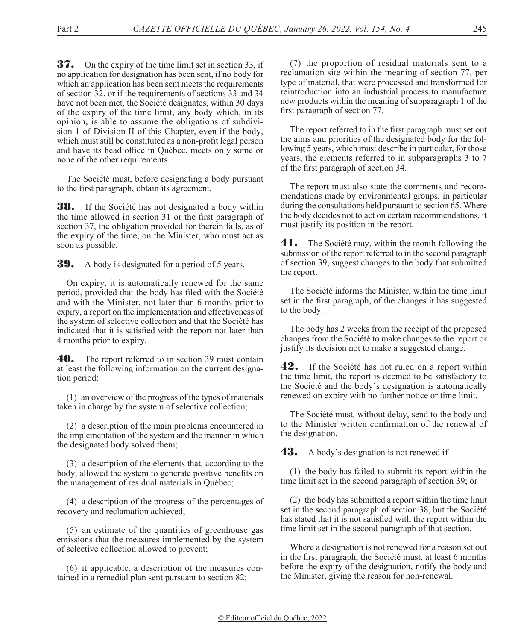**37.** On the expiry of the time limit set in section 33, if no application for designation has been sent, if no body for which an application has been sent meets the requirements of section 32, or if the requirements of sections 33 and 34 have not been met, the Société designates, within 30 days of the expiry of the time limit, any body which, in its opinion, is able to assume the obligations of subdivision 1 of Division II of this Chapter, even if the body, which must still be constituted as a non-profit legal person and have its head office in Québec, meets only some or none of the other requirements.

The Société must, before designating a body pursuant to the first paragraph, obtain its agreement.

**38.** If the Société has not designated a body within the time allowed in section 31 or the first paragraph of section 37, the obligation provided for therein falls, as of the expiry of the time, on the Minister, who must act as soon as possible.

**39.** A body is designated for a period of 5 years.

On expiry, it is automatically renewed for the same period, provided that the body has filed with the Société and with the Minister, not later than 6 months prior to expiry, a report on the implementation and effectiveness of the system of selective collection and that the Société has indicated that it is satisfied with the report not later than 4 months prior to expiry.

**40.** The report referred to in section 39 must contain at least the following information on the current designation period:

(1) an overview of the progress of the types of materials taken in charge by the system of selective collection;

(2) a description of the main problems encountered in the implementation of the system and the manner in which the designated body solved them;

(3) a description of the elements that, according to the body, allowed the system to generate positive benefits on the management of residual materials in Québec;

(4) a description of the progress of the percentages of recovery and reclamation achieved;

(5) an estimate of the quantities of greenhouse gas emissions that the measures implemented by the system of selective collection allowed to prevent;

(6) if applicable, a description of the measures contained in a remedial plan sent pursuant to section 82;

(7) the proportion of residual materials sent to a reclamation site within the meaning of section 77, per type of material, that were processed and transformed for reintroduction into an industrial process to manufacture new products within the meaning of subparagraph 1 of the first paragraph of section 77.

The report referred to in the first paragraph must set out the aims and priorities of the designated body for the following 5 years, which must describe in particular, for those years, the elements referred to in subparagraphs 3 to 7 of the first paragraph of section 34.

The report must also state the comments and recommendations made by environmental groups, in particular during the consultations held pursuant to section 65. Where the body decides not to act on certain recommendations, it must justify its position in the report.

**41.** The Société may, within the month following the submission of the report referred to in the second paragraph of section 39, suggest changes to the body that submitted the report.

The Société informs the Minister, within the time limit set in the first paragraph, of the changes it has suggested to the body.

The body has 2 weeks from the receipt of the proposed changes from the Société to make changes to the report or justify its decision not to make a suggested change.

42. If the Société has not ruled on a report within the time limit, the report is deemed to be satisfactory to the Société and the body's designation is automatically renewed on expiry with no further notice or time limit.

The Société must, without delay, send to the body and to the Minister written confirmation of the renewal of the designation.

43. A body's designation is not renewed if

(1) the body has failed to submit its report within the time limit set in the second paragraph of section 39; or

(2) the body has submitted a report within the time limit set in the second paragraph of section 38, but the Société has stated that it is not satisfied with the report within the time limit set in the second paragraph of that section.

Where a designation is not renewed for a reason set out in the first paragraph, the Société must, at least 6 months before the expiry of the designation, notify the body and the Minister, giving the reason for non-renewal.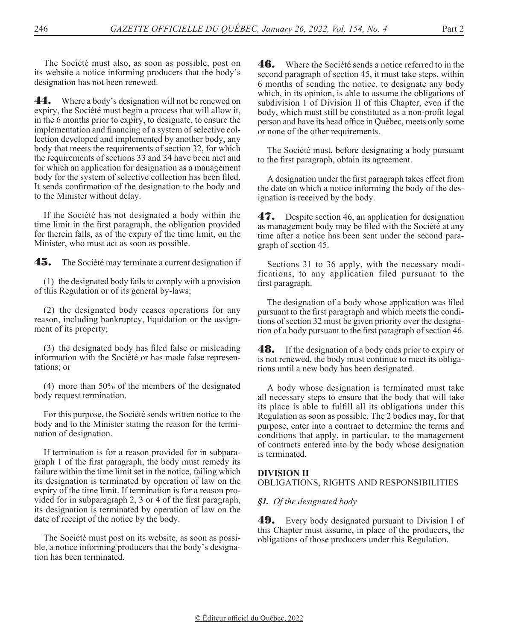The Société must also, as soon as possible, post on its website a notice informing producers that the body's designation has not been renewed.

**44.** Where a body's designation will not be renewed on expiry, the Société must begin a process that will allow it, in the 6 months prior to expiry, to designate, to ensure the implementation and financing of a system of selective collection developed and implemented by another body, any body that meets the requirements of section 32, for which the requirements of sections 33 and 34 have been met and for which an application for designation as a management body for the system of selective collection has been filed. It sends confirmation of the designation to the body and to the Minister without delay.

If the Société has not designated a body within the time limit in the first paragraph, the obligation provided for therein falls, as of the expiry of the time limit, on the Minister, who must act as soon as possible.

**45.** The Société may terminate a current designation if

(1) the designated body fails to comply with a provision of this Regulation or of its general by-laws;

(2) the designated body ceases operations for any reason, including bankruptcy, liquidation or the assignment of its property;

(3) the designated body has filed false or misleading information with the Société or has made false representations; or

(4) more than 50% of the members of the designated body request termination.

For this purpose, the Société sends written notice to the body and to the Minister stating the reason for the termination of designation.

If termination is for a reason provided for in subparagraph 1 of the first paragraph, the body must remedy its failure within the time limit set in the notice, failing which its designation is terminated by operation of law on the expiry of the time limit. If termination is for a reason provided for in subparagraph 2, 3 or 4 of the first paragraph, its designation is terminated by operation of law on the date of receipt of the notice by the body.

The Société must post on its website, as soon as possible, a notice informing producers that the body's designation has been terminated.

**46.** Where the Société sends a notice referred to in the second paragraph of section 45, it must take steps, within 6 months of sending the notice, to designate any body which, in its opinion, is able to assume the obligations of subdivision 1 of Division II of this Chapter, even if the body, which must still be constituted as a non-profit legal person and have its head office in Québec, meets only some or none of the other requirements.

The Société must, before designating a body pursuant to the first paragraph, obtain its agreement.

A designation under the first paragraph takes effect from the date on which a notice informing the body of the designation is received by the body.

47. Despite section 46, an application for designation as management body may be filed with the Société at any time after a notice has been sent under the second paragraph of section 45.

Sections 31 to 36 apply, with the necessary modifications, to any application filed pursuant to the first paragraph.

The designation of a body whose application was filed pursuant to the first paragraph and which meets the conditions of section 32 must be given priority over the designation of a body pursuant to the first paragraph of section 46.

**48.** If the designation of a body ends prior to expiry or is not renewed, the body must continue to meet its obligations until a new body has been designated.

A body whose designation is terminated must take all necessary steps to ensure that the body that will take its place is able to fulfill all its obligations under this Regulation as soon as possible. The 2 bodies may, for that purpose, enter into a contract to determine the terms and conditions that apply, in particular, to the management of contracts entered into by the body whose designation is terminated.

## **DIVISION II**

OBLIGATIONS, RIGHTS AND RESPONSIBILITIES

*§1. Of the designated body*

**49.** Every body designated pursuant to Division I of this Chapter must assume, in place of the producers, the obligations of those producers under this Regulation.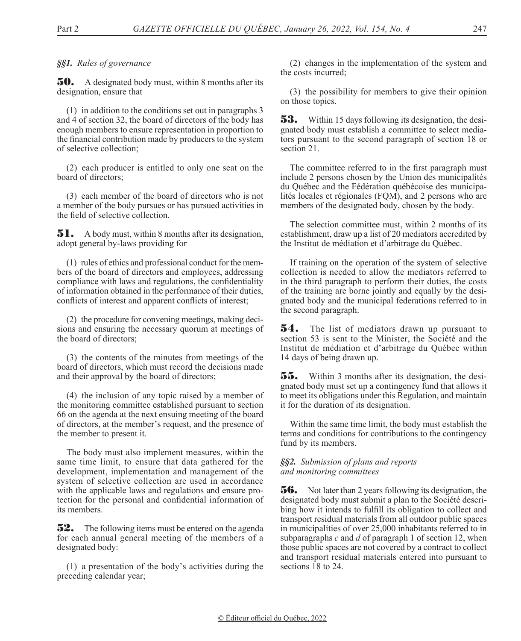## *§§1. Rules of governance*

**50.** A designated body must, within 8 months after its designation, ensure that

(1) in addition to the conditions set out in paragraphs 3 and 4 of section 32, the board of directors of the body has enough members to ensure representation in proportion to the financial contribution made by producers to the system of selective collection;

(2) each producer is entitled to only one seat on the board of directors;

(3) each member of the board of directors who is not a member of the body pursues or has pursued activities in the field of selective collection.

51. A body must, within 8 months after its designation, adopt general by-laws providing for

(1) rules of ethics and professional conduct for the members of the board of directors and employees, addressing compliance with laws and regulations, the confidentiality of information obtained in the performance of their duties, conflicts of interest and apparent conflicts of interest;

(2) the procedure for convening meetings, making decisions and ensuring the necessary quorum at meetings of the board of directors;

(3) the contents of the minutes from meetings of the board of directors, which must record the decisions made and their approval by the board of directors;

(4) the inclusion of any topic raised by a member of the monitoring committee established pursuant to section 66 on the agenda at the next ensuing meeting of the board of directors, at the member's request, and the presence of the member to present it.

The body must also implement measures, within the same time limit, to ensure that data gathered for the development, implementation and management of the system of selective collection are used in accordance with the applicable laws and regulations and ensure protection for the personal and confidential information of its members.

**52.** The following items must be entered on the agenda for each annual general meeting of the members of a designated body:

(1) a presentation of the body's activities during the preceding calendar year;

(2) changes in the implementation of the system and the costs incurred;

(3) the possibility for members to give their opinion on those topics.

**53.** Within 15 days following its designation, the designated body must establish a committee to select mediators pursuant to the second paragraph of section 18 or section 21.

The committee referred to in the first paragraph must include 2 persons chosen by the Union des municipalités du Québec and the Fédération québécoise des municipalités locales et régionales (FQM), and 2 persons who are members of the designated body, chosen by the body.

The selection committee must, within 2 months of its establishment, draw up a list of 20 mediators accredited by the Institut de médiation et d'arbitrage du Québec.

If training on the operation of the system of selective collection is needed to allow the mediators referred to in the third paragraph to perform their duties, the costs of the training are borne jointly and equally by the designated body and the municipal federations referred to in the second paragraph.

**54.** The list of mediators drawn up pursuant to section 53 is sent to the Minister, the Société and the Institut de médiation et d'arbitrage du Québec within 14 days of being drawn up.

55. Within 3 months after its designation, the designated body must set up a contingency fund that allows it to meet its obligations under this Regulation, and maintain it for the duration of its designation.

Within the same time limit, the body must establish the terms and conditions for contributions to the contingency fund by its members.

#### *§§2. Submission of plans and reports and monitoring committees*

**56.** Not later than 2 years following its designation, the designated body must submit a plan to the Société describing how it intends to fulfill its obligation to collect and transport residual materials from all outdoor public spaces in municipalities of over 25,000 inhabitants referred to in subparagraphs *c* and *d* of paragraph 1 of section 12, when those public spaces are not covered by a contract to collect and transport residual materials entered into pursuant to sections 18 to 24.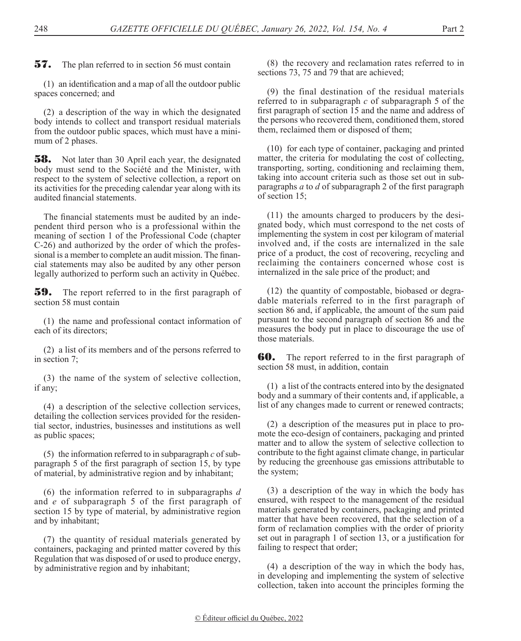**57.** The plan referred to in section 56 must contain

(1) an identification and a map of all the outdoor public spaces concerned; and

(2) a description of the way in which the designated body intends to collect and transport residual materials from the outdoor public spaces, which must have a minimum of 2 phases.

**58.** Not later than 30 April each year, the designated body must send to the Société and the Minister, with respect to the system of selective collection, a report on its activities for the preceding calendar year along with its audited financial statements.

The financial statements must be audited by an independent third person who is a professional within the meaning of section 1 of the Professional Code (chapter C-26) and authorized by the order of which the professional is a member to complete an audit mission. The financial statements may also be audited by any other person legally authorized to perform such an activity in Québec.

**59.** The report referred to in the first paragraph of section 58 must contain

(1) the name and professional contact information of each of its directors;

(2) a list of its members and of the persons referred to in section 7;

(3) the name of the system of selective collection, if any;

(4) a description of the selective collection services, detailing the collection services provided for the residential sector, industries, businesses and institutions as well as public spaces;

(5) the information referred to in subparagraph *c* of subparagraph 5 of the first paragraph of section 15, by type of material, by administrative region and by inhabitant;

(6) the information referred to in subparagraphs *d*  and *e* of subparagraph 5 of the first paragraph of section 15 by type of material, by administrative region and by inhabitant;

(7) the quantity of residual materials generated by containers, packaging and printed matter covered by this Regulation that was disposed of or used to produce energy, by administrative region and by inhabitant;

(8) the recovery and reclamation rates referred to in sections 73, 75 and 79 that are achieved;

(9) the final destination of the residual materials referred to in subparagraph *c* of subparagraph 5 of the first paragraph of section 15 and the name and address of the persons who recovered them, conditioned them, stored them, reclaimed them or disposed of them;

(10) for each type of container, packaging and printed matter, the criteria for modulating the cost of collecting, transporting, sorting, conditioning and reclaiming them, taking into account criteria such as those set out in subparagraphs *a* to *d* of subparagraph 2 of the first paragraph of section 15;

(11) the amounts charged to producers by the designated body, which must correspond to the net costs of implementing the system in cost per kilogram of material involved and, if the costs are internalized in the sale price of a product, the cost of recovering, recycling and reclaiming the containers concerned whose cost is internalized in the sale price of the product; and

(12) the quantity of compostable, biobased or degradable materials referred to in the first paragraph of section 86 and, if applicable, the amount of the sum paid pursuant to the second paragraph of section 86 and the measures the body put in place to discourage the use of those materials.

**60.** The report referred to in the first paragraph of section 58 must, in addition, contain

(1) a list of the contracts entered into by the designated body and a summary of their contents and, if applicable, a list of any changes made to current or renewed contracts;

(2) a description of the measures put in place to promote the eco-design of containers, packaging and printed matter and to allow the system of selective collection to contribute to the fight against climate change, in particular by reducing the greenhouse gas emissions attributable to the system;

(3) a description of the way in which the body has ensured, with respect to the management of the residual materials generated by containers, packaging and printed matter that have been recovered, that the selection of a form of reclamation complies with the order of priority set out in paragraph 1 of section 13, or a justification for failing to respect that order;

(4) a description of the way in which the body has, in developing and implementing the system of selective collection, taken into account the principles forming the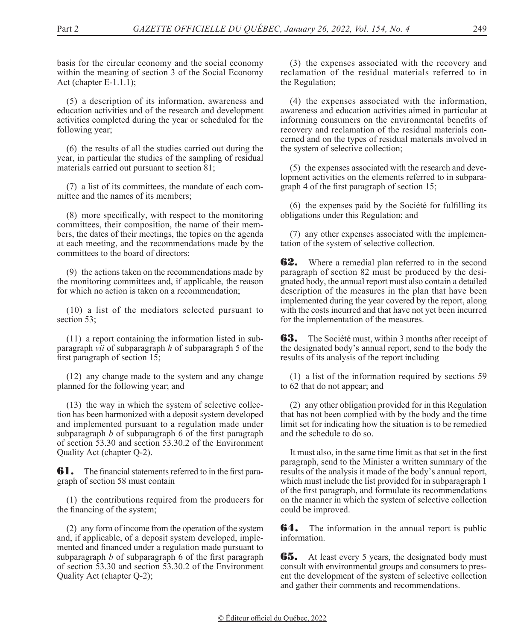basis for the circular economy and the social economy within the meaning of section 3 of the Social Economy Act (chapter E-1.1.1);

(5) a description of its information, awareness and education activities and of the research and development activities completed during the year or scheduled for the following year;

(6) the results of all the studies carried out during the year, in particular the studies of the sampling of residual materials carried out pursuant to section 81;

(7) a list of its committees, the mandate of each committee and the names of its members;

(8) more specifically, with respect to the monitoring committees, their composition, the name of their members, the dates of their meetings, the topics on the agenda at each meeting, and the recommendations made by the committees to the board of directors;

(9) the actions taken on the recommendations made by the monitoring committees and, if applicable, the reason for which no action is taken on a recommendation;

(10) a list of the mediators selected pursuant to section 53;

(11) a report containing the information listed in subparagraph *vii* of subparagraph *h* of subparagraph 5 of the first paragraph of section 15;

(12) any change made to the system and any change planned for the following year; and

(13) the way in which the system of selective collection has been harmonized with a deposit system developed and implemented pursuant to a regulation made under subparagraph *b* of subparagraph 6 of the first paragraph of section 53.30 and section 53.30.2 of the Environment Quality Act (chapter Q-2).

**61.** The financial statements referred to in the first paragraph of section 58 must contain

(1) the contributions required from the producers for the financing of the system;

(2) any form of income from the operation of the system and, if applicable, of a deposit system developed, implemented and financed under a regulation made pursuant to subparagraph *b* of subparagraph 6 of the first paragraph of section 53.30 and section 53.30.2 of the Environment Quality Act (chapter Q-2);

(3) the expenses associated with the recovery and reclamation of the residual materials referred to in the Regulation;

(4) the expenses associated with the information, awareness and education activities aimed in particular at informing consumers on the environmental benefits of recovery and reclamation of the residual materials concerned and on the types of residual materials involved in the system of selective collection;

(5) the expenses associated with the research and development activities on the elements referred to in subparagraph 4 of the first paragraph of section 15;

(6) the expenses paid by the Société for fulfilling its obligations under this Regulation; and

(7) any other expenses associated with the implementation of the system of selective collection.

**62.** Where a remedial plan referred to in the second paragraph of section 82 must be produced by the designated body, the annual report must also contain a detailed description of the measures in the plan that have been implemented during the year covered by the report, along with the costs incurred and that have not yet been incurred for the implementation of the measures.

**63.** The Société must, within 3 months after receipt of the designated body's annual report, send to the body the results of its analysis of the report including

(1) a list of the information required by sections 59 to 62 that do not appear; and

(2) any other obligation provided for in this Regulation that has not been complied with by the body and the time limit set for indicating how the situation is to be remedied and the schedule to do so.

It must also, in the same time limit as that set in the first paragraph, send to the Minister a written summary of the results of the analysis it made of the body's annual report, which must include the list provided for in subparagraph 1 of the first paragraph, and formulate its recommendations on the manner in which the system of selective collection could be improved.

**64.** The information in the annual report is public information.

**65.** At least every 5 years, the designated body must consult with environmental groups and consumers to present the development of the system of selective collection and gather their comments and recommendations.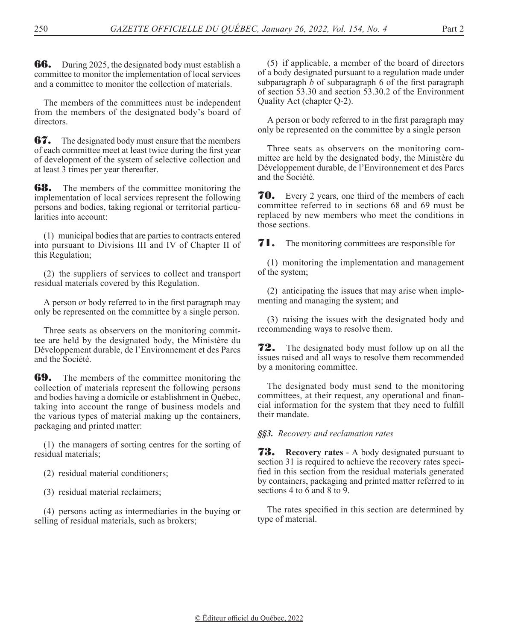**66.** During 2025, the designated body must establish a committee to monitor the implementation of local services and a committee to monitor the collection of materials.

The members of the committees must be independent from the members of the designated body's board of directors.

**67.** The designated body must ensure that the members of each committee meet at least twice during the first year of development of the system of selective collection and at least 3 times per year thereafter.

**68.** The members of the committee monitoring the implementation of local services represent the following persons and bodies, taking regional or territorial particularities into account:

(1) municipal bodies that are parties to contracts entered into pursuant to Divisions III and IV of Chapter II of this Regulation;

(2) the suppliers of services to collect and transport residual materials covered by this Regulation.

A person or body referred to in the first paragraph may only be represented on the committee by a single person.

Three seats as observers on the monitoring committee are held by the designated body, the Ministère du Développement durable, de l'Environnement et des Parcs and the Société.

**69.** The members of the committee monitoring the collection of materials represent the following persons and bodies having a domicile or establishment in Québec, taking into account the range of business models and the various types of material making up the containers, packaging and printed matter:

(1) the managers of sorting centres for the sorting of residual materials;

(2) residual material conditioners;

(3) residual material reclaimers;

(4) persons acting as intermediaries in the buying or selling of residual materials, such as brokers;

(5) if applicable, a member of the board of directors of a body designated pursuant to a regulation made under subparagraph *b* of subparagraph 6 of the first paragraph of section 53.30 and section 53.30.2 of the Environment Quality Act (chapter Q-2).

A person or body referred to in the first paragraph may only be represented on the committee by a single person

Three seats as observers on the monitoring committee are held by the designated body, the Ministère du Développement durable, de l'Environnement et des Parcs and the Société.

**70.** Every 2 years, one third of the members of each committee referred to in sections 68 and 69 must be replaced by new members who meet the conditions in those sections.

**71.** The monitoring committees are responsible for

(1) monitoring the implementation and management of the system;

(2) anticipating the issues that may arise when implementing and managing the system; and

(3) raising the issues with the designated body and recommending ways to resolve them.

**72.** The designated body must follow up on all the issues raised and all ways to resolve them recommended by a monitoring committee.

The designated body must send to the monitoring committees, at their request, any operational and financial information for the system that they need to fulfill their mandate.

*§§3. Recovery and reclamation rates*

73. **Recovery rates** - A body designated pursuant to section 31 is required to achieve the recovery rates specified in this section from the residual materials generated by containers, packaging and printed matter referred to in sections 4 to 6 and 8 to 9.

The rates specified in this section are determined by type of material.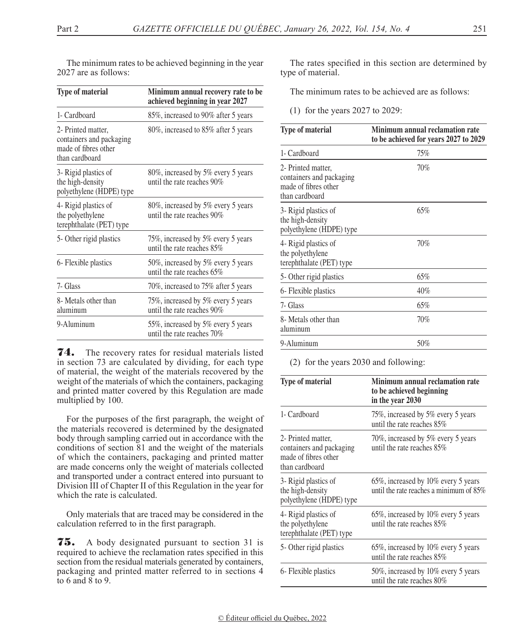| The minimum rates to be achieved beginning in the year |  |
|--------------------------------------------------------|--|
| 2027 are as follows:                                   |  |

| <b>Type of material</b>                                                                  | Minimum annual recovery rate to be<br>achieved beginning in year 2027 |
|------------------------------------------------------------------------------------------|-----------------------------------------------------------------------|
| 1- Cardboard                                                                             | 85%, increased to 90% after 5 years                                   |
| 2- Printed matter,<br>containers and packaging<br>made of fibres other<br>than cardboard | 80\%, increased to 85\% after 5 years                                 |
| 3- Rigid plastics of<br>the high-density<br>polyethylene (HDPE) type                     | 80%, increased by 5% every 5 years<br>until the rate reaches $90\%$   |
| 4- Rigid plastics of<br>the polyethylene<br>terephthalate (PET) type                     | 80\%, increased by 5\% every 5 years<br>until the rate reaches 90%    |
| 5- Other rigid plastics                                                                  | 75%, increased by 5% every 5 years<br>until the rate reaches 85%      |
| 6- Flexible plastics                                                                     | 50%, increased by 5% every 5 years<br>until the rate reaches 65%      |
| 7- Glass                                                                                 | 70%, increased to 75% after 5 years                                   |
| 8- Metals other than<br>aluminum                                                         | 75%, increased by 5% every 5 years<br>until the rate reaches $90\%$   |
| 9-Aluminum                                                                               | 55%, increased by 5% every 5 years<br>until the rate reaches $70\%$   |

**74.** The recovery rates for residual materials listed in section 73 are calculated by dividing, for each type of material, the weight of the materials recovered by the weight of the materials of which the containers, packaging and printed matter covered by this Regulation are made multiplied by 100.

For the purposes of the first paragraph, the weight of the materials recovered is determined by the designated body through sampling carried out in accordance with the conditions of section 81 and the weight of the materials of which the containers, packaging and printed matter are made concerns only the weight of materials collected and transported under a contract entered into pursuant to Division III of Chapter II of this Regulation in the year for which the rate is calculated.

Only materials that are traced may be considered in the calculation referred to in the first paragraph.

75. A body designated pursuant to section 31 is required to achieve the reclamation rates specified in this section from the residual materials generated by containers, packaging and printed matter referred to in sections 4 to 6 and 8 to 9.

The rates specified in this section are determined by type of material.

The minimum rates to be achieved are as follows:

(1) for the years 2027 to 2029:

| <b>Type of material</b>                                                                  | Minimum annual reclamation rate<br>to be achieved for years 2027 to 2029 |
|------------------------------------------------------------------------------------------|--------------------------------------------------------------------------|
| 1- Cardboard                                                                             | 75%                                                                      |
| 2- Printed matter,<br>containers and packaging<br>made of fibres other<br>than cardboard | 70%                                                                      |
| 3- Rigid plastics of<br>the high-density<br>polyethylene (HDPE) type                     | 65%                                                                      |
| 4- Rigid plastics of<br>the polyethylene<br>terephthalate (PET) type                     | 70%                                                                      |
| 5- Other rigid plastics                                                                  | 65%                                                                      |
| 6- Flexible plastics                                                                     | 40%                                                                      |
| 7- Glass                                                                                 | 65%                                                                      |
| 8- Metals other than<br>aluminum                                                         | 70%                                                                      |
| 9-Aluminum                                                                               | 50%                                                                      |

(2) for the years 2030 and following:

| <b>Type of material</b>                                                                  | Minimum annual reclamation rate<br>to be achieved beginning<br>in the year 2030   |
|------------------------------------------------------------------------------------------|-----------------------------------------------------------------------------------|
| 1- Cardboard                                                                             | 75%, increased by 5% every 5 years<br>until the rate reaches $85\%$               |
| 2- Printed matter,<br>containers and packaging<br>made of fibres other<br>than cardboard | 70%, increased by 5% every 5 years<br>until the rate reaches $85\%$               |
| 3- Rigid plastics of<br>the high-density<br>polyethylene (HDPE) type                     | 65%, increased by 10% every 5 years<br>until the rate reaches a minimum of $85\%$ |
| 4- Rigid plastics of<br>the polyethylene<br>terephthalate (PET) type                     | 65%, increased by 10% every 5 years<br>until the rate reaches 85%                 |
| 5- Other rigid plastics                                                                  | 65%, increased by 10% every 5 years<br>until the rate reaches $85\%$              |
| 6- Flexible plastics                                                                     | 50%, increased by 10% every 5 years<br>until the rate reaches $80\%$              |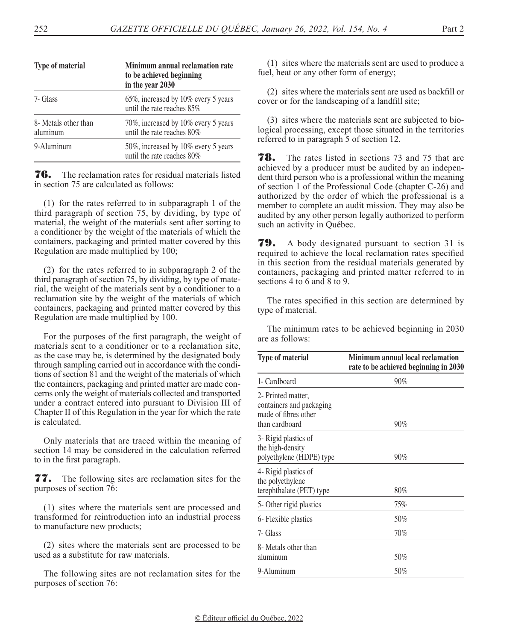| <b>Type of material</b>          | Minimum annual reclamation rate<br>to be achieved beginning<br>in the year 2030 |
|----------------------------------|---------------------------------------------------------------------------------|
| 7- Glass                         | 65%, increased by 10% every 5 years<br>until the rate reaches 85%               |
| 8- Metals other than<br>aluminum | 70%, increased by 10% every 5 years<br>until the rate reaches $80\%$            |
| 9-Aluminum                       | 50%, increased by 10% every 5 years<br>until the rate reaches $80\%$            |

**76.** The reclamation rates for residual materials listed in section 75 are calculated as follows:

(1) for the rates referred to in subparagraph 1 of the third paragraph of section 75, by dividing, by type of material, the weight of the materials sent after sorting to a conditioner by the weight of the materials of which the containers, packaging and printed matter covered by this Regulation are made multiplied by 100;

(2) for the rates referred to in subparagraph 2 of the third paragraph of section 75, by dividing, by type of material, the weight of the materials sent by a conditioner to a reclamation site by the weight of the materials of which containers, packaging and printed matter covered by this Regulation are made multiplied by 100.

For the purposes of the first paragraph, the weight of materials sent to a conditioner or to a reclamation site, as the case may be, is determined by the designated body through sampling carried out in accordance with the conditions of section 81 and the weight of the materials of which the containers, packaging and printed matter are made concerns only the weight of materials collected and transported under a contract entered into pursuant to Division III of Chapter II of this Regulation in the year for which the rate is calculated.

Only materials that are traced within the meaning of section 14 may be considered in the calculation referred to in the first paragraph.

77. The following sites are reclamation sites for the purposes of section 76:

(1) sites where the materials sent are processed and transformed for reintroduction into an industrial process to manufacture new products;

(2) sites where the materials sent are processed to be used as a substitute for raw materials.

The following sites are not reclamation sites for the purposes of section 76:

(1) sites where the materials sent are used to produce a fuel, heat or any other form of energy;

(2) sites where the materials sent are used as backfill or cover or for the landscaping of a landfill site;

(3) sites where the materials sent are subjected to biological processing, except those situated in the territories referred to in paragraph 5 of section 12.

**78.** The rates listed in sections 73 and 75 that are achieved by a producer must be audited by an independent third person who is a professional within the meaning of section 1 of the Professional Code (chapter C-26) and authorized by the order of which the professional is a member to complete an audit mission. They may also be audited by any other person legally authorized to perform such an activity in Québec.

**79.** A body designated pursuant to section 31 is required to achieve the local reclamation rates specified in this section from the residual materials generated by containers, packaging and printed matter referred to in sections 4 to 6 and 8 to 9.

The rates specified in this section are determined by type of material.

The minimum rates to be achieved beginning in 2030 are as follows:

| <b>Type of material</b>                                                                  | Minimum annual local reclamation<br>rate to be achieved beginning in 2030 |
|------------------------------------------------------------------------------------------|---------------------------------------------------------------------------|
| 1- Cardboard                                                                             | $90\%$                                                                    |
| 2- Printed matter,<br>containers and packaging<br>made of fibres other<br>than cardboard | 90%                                                                       |
| 3- Rigid plastics of<br>the high-density<br>polyethylene (HDPE) type                     | $90\%$                                                                    |
| 4- Rigid plastics of<br>the polyethylene<br>terephthalate (PET) type                     | $80\%$                                                                    |
| 5- Other rigid plastics                                                                  | 75%                                                                       |
| 6- Flexible plastics                                                                     | 50%                                                                       |
| 7- Glass                                                                                 | 70%                                                                       |
| 8- Metals other than<br>aluminum                                                         | 50%                                                                       |
| 9-Aluminum                                                                               | 50%                                                                       |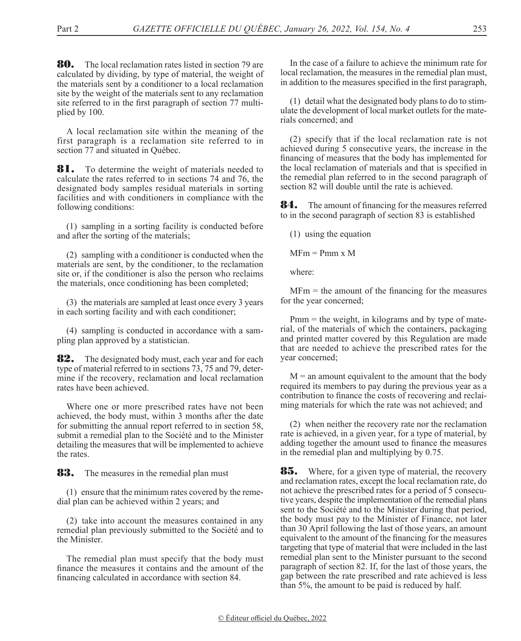**80.** The local reclamation rates listed in section 79 are calculated by dividing, by type of material, the weight of the materials sent by a conditioner to a local reclamation site by the weight of the materials sent to any reclamation site referred to in the first paragraph of section 77 multiplied by 100.

A local reclamation site within the meaning of the first paragraph is a reclamation site referred to in section 77 and situated in Québec.

**81.** To determine the weight of materials needed to calculate the rates referred to in sections 74 and 76, the designated body samples residual materials in sorting facilities and with conditioners in compliance with the following conditions:

(1) sampling in a sorting facility is conducted before and after the sorting of the materials;

(2) sampling with a conditioner is conducted when the materials are sent, by the conditioner, to the reclamation site or, if the conditioner is also the person who reclaims the materials, once conditioning has been completed;

(3) the materials are sampled at least once every 3 years in each sorting facility and with each conditioner;

(4) sampling is conducted in accordance with a sampling plan approved by a statistician.

**82.** The designated body must, each year and for each type of material referred to in sections 73, 75 and 79, determine if the recovery, reclamation and local reclamation rates have been achieved.

Where one or more prescribed rates have not been achieved, the body must, within 3 months after the date for submitting the annual report referred to in section 58, submit a remedial plan to the Société and to the Minister detailing the measures that will be implemented to achieve the rates.

**83.** The measures in the remedial plan must

(1) ensure that the minimum rates covered by the remedial plan can be achieved within 2 years; and

(2) take into account the measures contained in any remedial plan previously submitted to the Société and to the Minister.

The remedial plan must specify that the body must finance the measures it contains and the amount of the financing calculated in accordance with section 84.

In the case of a failure to achieve the minimum rate for local reclamation, the measures in the remedial plan must, in addition to the measures specified in the first paragraph,

(1) detail what the designated body plans to do to stimulate the development of local market outlets for the materials concerned; and

(2) specify that if the local reclamation rate is not achieved during 5 consecutive years, the increase in the financing of measures that the body has implemented for the local reclamation of materials and that is specified in the remedial plan referred to in the second paragraph of section 82 will double until the rate is achieved.

**84.** The amount of financing for the measures referred to in the second paragraph of section 83 is established

(1) using the equation

 $MFm = Pmm x M$ 

where:

 $MFm$  = the amount of the financing for the measures for the year concerned;

Pmm = the weight, in kilograms and by type of material, of the materials of which the containers, packaging and printed matter covered by this Regulation are made that are needed to achieve the prescribed rates for the year concerned;

 $M =$  an amount equivalent to the amount that the body required its members to pay during the previous year as a contribution to finance the costs of recovering and reclaiming materials for which the rate was not achieved; and

(2) when neither the recovery rate nor the reclamation rate is achieved, in a given year, for a type of material, by adding together the amount used to finance the measures in the remedial plan and multiplying by 0.75.

**85.** Where, for a given type of material, the recovery and reclamation rates, except the local reclamation rate, do not achieve the prescribed rates for a period of 5 consecutive years, despite the implementation of the remedial plans sent to the Société and to the Minister during that period, the body must pay to the Minister of Finance, not later than 30 April following the last of those years, an amount equivalent to the amount of the financing for the measures targeting that type of material that were included in the last remedial plan sent to the Minister pursuant to the second paragraph of section 82. If, for the last of those years, the gap between the rate prescribed and rate achieved is less than 5%, the amount to be paid is reduced by half.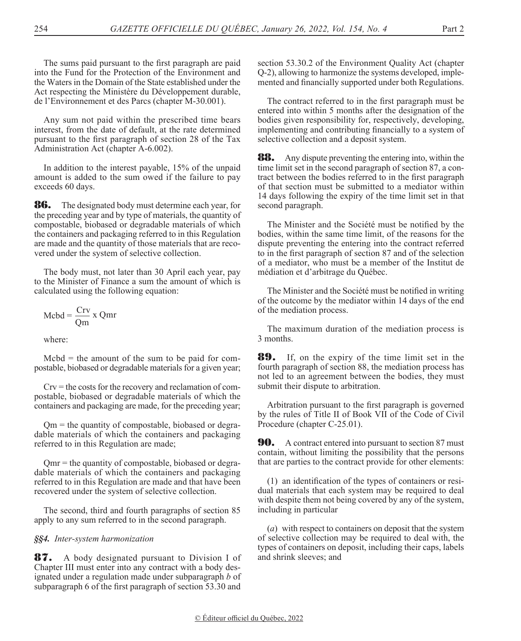The sums paid pursuant to the first paragraph are paid into the Fund for the Protection of the Environment and the Waters in the Domain of the State established under the Act respecting the Ministère du Développement durable, de l'Environnement et des Parcs (chapter M-30.001).

Any sum not paid within the prescribed time bears interest, from the date of default, at the rate determined pursuant to the first paragraph of section 28 of the Tax Administration Act (chapter A-6.002).

In addition to the interest payable, 15% of the unpaid amount is added to the sum owed if the failure to pay exceeds 60 days.

86. The designated body must determine each year, for the preceding year and by type of materials, the quantity of compostable, biobased or degradable materials of which the containers and packaging referred to in this Regulation are made and the quantity of those materials that are recovered under the system of selective collection.

The body must, not later than 30 April each year, pay to the Minister of Finance a sum the amount of which is calculated using the following equation:

$$
Mcbd = \frac{Crv}{Qm} x Qmr
$$

where:

 $\text{Mcbd} = \text{the amount of the sum to be paid for com-}$ postable, biobased or degradable materials for a given year;

 $Crv$  = the costs for the recovery and reclamation of compostable, biobased or degradable materials of which the containers and packaging are made, for the preceding year;

Qm = the quantity of compostable, biobased or degradable materials of which the containers and packaging referred to in this Regulation are made;

Qmr = the quantity of compostable, biobased or degradable materials of which the containers and packaging referred to in this Regulation are made and that have been recovered under the system of selective collection.

The second, third and fourth paragraphs of section 85 apply to any sum referred to in the second paragraph.

## *§§4. Inter-system harmonization*

**87.** A body designated pursuant to Division I of Chapter III must enter into any contract with a body designated under a regulation made under subparagraph *b* of subparagraph 6 of the first paragraph of section 53.30 and

section 53.30.2 of the Environment Quality Act (chapter Q-2), allowing to harmonize the systems developed, implemented and financially supported under both Regulations.

The contract referred to in the first paragraph must be entered into within 5 months after the designation of the bodies given responsibility for, respectively, developing, implementing and contributing financially to a system of selective collection and a deposit system.

**88.** Any dispute preventing the entering into, within the time limit set in the second paragraph of section 87, a contract between the bodies referred to in the first paragraph of that section must be submitted to a mediator within 14 days following the expiry of the time limit set in that second paragraph.

The Minister and the Société must be notified by the bodies, within the same time limit, of the reasons for the dispute preventing the entering into the contract referred to in the first paragraph of section 87 and of the selection of a mediator, who must be a member of the Institut de médiation et d'arbitrage du Québec.

The Minister and the Société must be notified in writing of the outcome by the mediator within 14 days of the end of the mediation process.

The maximum duration of the mediation process is 3 months.

89. If, on the expiry of the time limit set in the fourth paragraph of section 88, the mediation process has not led to an agreement between the bodies, they must submit their dispute to arbitration.

Arbitration pursuant to the first paragraph is governed by the rules of Title II of Book VII of the Code of Civil Procedure (chapter C-25.01).

**90.** A contract entered into pursuant to section 87 must contain, without limiting the possibility that the persons that are parties to the contract provide for other elements:

(1) an identification of the types of containers or residual materials that each system may be required to deal with despite them not being covered by any of the system, including in particular

(*a*) with respect to containers on deposit that the system of selective collection may be required to deal with, the types of containers on deposit, including their caps, labels and shrink sleeves; and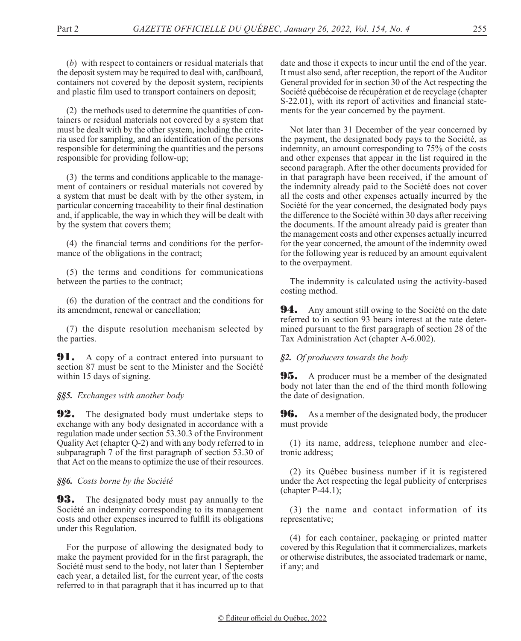(*b*) with respect to containers or residual materials that the deposit system may be required to deal with, cardboard, containers not covered by the deposit system, recipients and plastic film used to transport containers on deposit;

(2) the methods used to determine the quantities of containers or residual materials not covered by a system that must be dealt with by the other system, including the criteria used for sampling, and an identification of the persons responsible for determining the quantities and the persons responsible for providing follow-up;

(3) the terms and conditions applicable to the management of containers or residual materials not covered by a system that must be dealt with by the other system, in particular concerning traceability to their final destination and, if applicable, the way in which they will be dealt with by the system that covers them;

(4) the financial terms and conditions for the performance of the obligations in the contract;

(5) the terms and conditions for communications between the parties to the contract;

(6) the duration of the contract and the conditions for its amendment, renewal or cancellation;

(7) the dispute resolution mechanism selected by the parties.

**91.** A copy of a contract entered into pursuant to section 87 must be sent to the Minister and the Société within 15 days of signing.

## *§§5. Exchanges with another body*

**92.** The designated body must undertake steps to exchange with any body designated in accordance with a regulation made under section 53.30.3 of the Environment Quality Act (chapter Q-2) and with any body referred to in subparagraph 7 of the first paragraph of section 53.30 of that Act on the means to optimize the use of their resources.

## *§§6. Costs borne by the Société*

**93.** The designated body must pay annually to the Société an indemnity corresponding to its management costs and other expenses incurred to fulfill its obligations under this Regulation.

For the purpose of allowing the designated body to make the payment provided for in the first paragraph, the Société must send to the body, not later than 1 September each year, a detailed list, for the current year, of the costs referred to in that paragraph that it has incurred up to that

date and those it expects to incur until the end of the year. It must also send, after reception, the report of the Auditor General provided for in section 30 of the Act respecting the Société québécoise de récupération et de recyclage (chapter S-22.01), with its report of activities and financial statements for the year concerned by the payment.

Not later than 31 December of the year concerned by the payment, the designated body pays to the Société, as indemnity, an amount corresponding to 75% of the costs and other expenses that appear in the list required in the second paragraph. After the other documents provided for in that paragraph have been received, if the amount of the indemnity already paid to the Société does not cover all the costs and other expenses actually incurred by the Société for the year concerned, the designated body pays the difference to the Société within 30 days after receiving the documents. If the amount already paid is greater than the management costs and other expenses actually incurred for the year concerned, the amount of the indemnity owed for the following year is reduced by an amount equivalent to the overpayment.

The indemnity is calculated using the activity-based costing method.

**94.** Any amount still owing to the Société on the date referred to in section 93 bears interest at the rate determined pursuant to the first paragraph of section 28 of the Tax Administration Act (chapter A-6.002).

## *§2. Of producers towards the body*

**95.** A producer must be a member of the designated body not later than the end of the third month following the date of designation.

**96.** As a member of the designated body, the producer must provide

(1) its name, address, telephone number and electronic address;

(2) its Québec business number if it is registered under the Act respecting the legal publicity of enterprises (chapter P-44.1);

(3) the name and contact information of its representative;

(4) for each container, packaging or printed matter covered by this Regulation that it commercializes, markets or otherwise distributes, the associated trademark or name, if any; and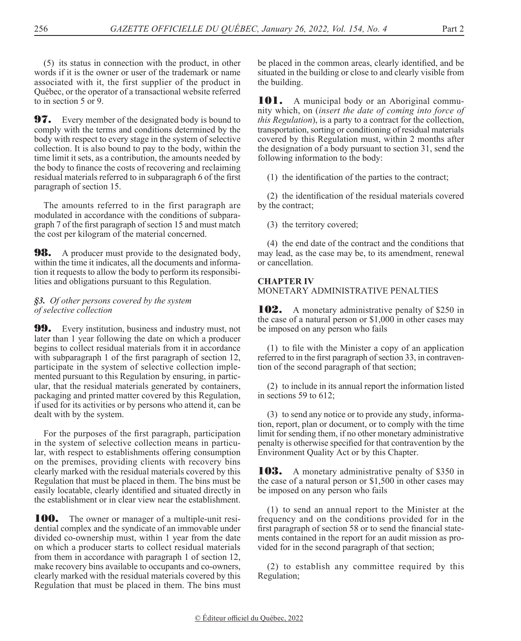(5) its status in connection with the product, in other words if it is the owner or user of the trademark or name associated with it, the first supplier of the product in Québec, or the operator of a transactional website referred to in section 5 or 9.

**97.** Every member of the designated body is bound to comply with the terms and conditions determined by the body with respect to every stage in the system of selective collection. It is also bound to pay to the body, within the time limit it sets, as a contribution, the amounts needed by the body to finance the costs of recovering and reclaiming residual materials referred to in subparagraph 6 of the first paragraph of section 15.

The amounts referred to in the first paragraph are modulated in accordance with the conditions of subparagraph 7 of the first paragraph of section 15 and must match the cost per kilogram of the material concerned.

**98.** A producer must provide to the designated body, within the time it indicates, all the documents and information it requests to allow the body to perform its responsibilities and obligations pursuant to this Regulation.

## *§3. Of other persons covered by the system of selective collection*

**99.** Every institution, business and industry must, not later than 1 year following the date on which a producer begins to collect residual materials from it in accordance with subparagraph 1 of the first paragraph of section 12, participate in the system of selective collection implemented pursuant to this Regulation by ensuring, in particular, that the residual materials generated by containers, packaging and printed matter covered by this Regulation, if used for its activities or by persons who attend it, can be dealt with by the system.

For the purposes of the first paragraph, participation in the system of selective collection means in particular, with respect to establishments offering consumption on the premises, providing clients with recovery bins clearly marked with the residual materials covered by this Regulation that must be placed in them. The bins must be easily locatable, clearly identified and situated directly in the establishment or in clear view near the establishment.

**100.** The owner or manager of a multiple-unit residential complex and the syndicate of an immovable under divided co-ownership must, within 1 year from the date on which a producer starts to collect residual materials from them in accordance with paragraph 1 of section 12, make recovery bins available to occupants and co-owners, clearly marked with the residual materials covered by this Regulation that must be placed in them. The bins must

be placed in the common areas, clearly identified, and be situated in the building or close to and clearly visible from the building.

**101.** A municipal body or an Aboriginal community which, on (*insert the date of coming into force of this Regulation*), is a party to a contract for the collection, transportation, sorting or conditioning of residual materials covered by this Regulation must, within 2 months after the designation of a body pursuant to section 31, send the following information to the body:

(1) the identification of the parties to the contract;

(2) the identification of the residual materials covered by the contract;

(3) the territory covered;

(4) the end date of the contract and the conditions that may lead, as the case may be, to its amendment, renewal or cancellation.

# **CHAPTER IV**

MONETARY ADMINISTRATIVE PENALTIES

**102.** A monetary administrative penalty of \$250 in the case of a natural person or \$1,000 in other cases may be imposed on any person who fails

(1) to file with the Minister a copy of an application referred to in the first paragraph of section 33, in contravention of the second paragraph of that section;

(2) to include in its annual report the information listed in sections 59 to 612;

(3) to send any notice or to provide any study, information, report, plan or document, or to comply with the time limit for sending them, if no other monetary administrative penalty is otherwise specified for that contravention by the Environment Quality Act or by this Chapter.

**103.** A monetary administrative penalty of \$350 in the case of a natural person or \$1,500 in other cases may be imposed on any person who fails

(1) to send an annual report to the Minister at the frequency and on the conditions provided for in the first paragraph of section 58 or to send the financial statements contained in the report for an audit mission as provided for in the second paragraph of that section;

(2) to establish any committee required by this Regulation;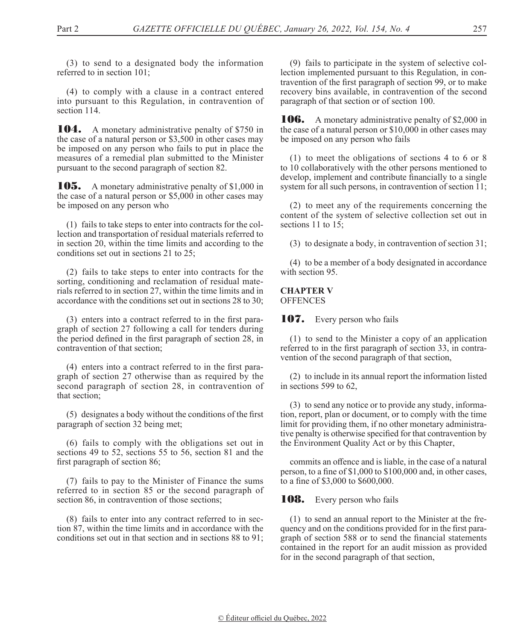(3) to send to a designated body the information referred to in section 101;

(4) to comply with a clause in a contract entered into pursuant to this Regulation, in contravention of section 114.

104. A monetary administrative penalty of \$750 in the case of a natural person or \$3,500 in other cases may be imposed on any person who fails to put in place the measures of a remedial plan submitted to the Minister pursuant to the second paragraph of section 82.

105. A monetary administrative penalty of \$1,000 in the case of a natural person or \$5,000 in other cases may be imposed on any person who

(1) fails to take steps to enter into contracts for the collection and transportation of residual materials referred to in section 20, within the time limits and according to the conditions set out in sections 21 to 25;

(2) fails to take steps to enter into contracts for the sorting, conditioning and reclamation of residual materials referred to in section 27, within the time limits and in accordance with the conditions set out in sections 28 to 30;

(3) enters into a contract referred to in the first paragraph of section 27 following a call for tenders during the period defined in the first paragraph of section 28, in contravention of that section;

(4) enters into a contract referred to in the first paragraph of section 27 otherwise than as required by the second paragraph of section 28, in contravention of that section;

(5) designates a body without the conditions of the first paragraph of section 32 being met;

(6) fails to comply with the obligations set out in sections 49 to 52, sections 55 to 56, section 81 and the first paragraph of section 86;

(7) fails to pay to the Minister of Finance the sums referred to in section 85 or the second paragraph of section 86, in contravention of those sections;

(8) fails to enter into any contract referred to in section 87, within the time limits and in accordance with the conditions set out in that section and in sections 88 to 91;

(9) fails to participate in the system of selective collection implemented pursuant to this Regulation, in contravention of the first paragraph of section 99, or to make recovery bins available, in contravention of the second paragraph of that section or of section 100.

**106.** A monetary administrative penalty of \$2,000 in the case of a natural person or \$10,000 in other cases may be imposed on any person who fails

(1) to meet the obligations of sections 4 to 6 or 8 to 10 collaboratively with the other persons mentioned to develop, implement and contribute financially to a single system for all such persons, in contravention of section 11;

(2) to meet any of the requirements concerning the content of the system of selective collection set out in sections 11 to 15:

(3) to designate a body, in contravention of section 31;

(4) to be a member of a body designated in accordance with section 95.

**CHAPTER V OFFENCES** 

## 107. Every person who fails

(1) to send to the Minister a copy of an application referred to in the first paragraph of section 33, in contravention of the second paragraph of that section,

(2) to include in its annual report the information listed in sections 599 to 62,

(3) to send any notice or to provide any study, information, report, plan or document, or to comply with the time limit for providing them, if no other monetary administrative penalty is otherwise specified for that contravention by the Environment Quality Act or by this Chapter,

commits an offence and is liable, in the case of a natural person, to a fine of \$1,000 to \$100,000 and, in other cases, to a fine of \$3,000 to \$600,000.

**108.** Every person who fails

(1) to send an annual report to the Minister at the frequency and on the conditions provided for in the first paragraph of section 588 or to send the financial statements contained in the report for an audit mission as provided for in the second paragraph of that section,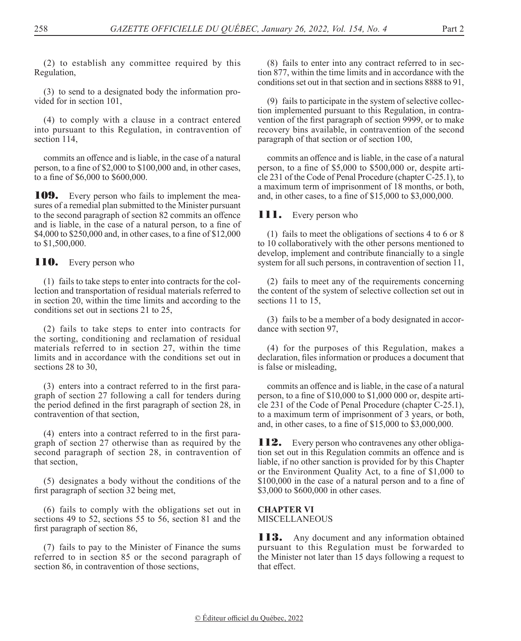(2) to establish any committee required by this Regulation,

(3) to send to a designated body the information provided for in section 101,

(4) to comply with a clause in a contract entered into pursuant to this Regulation, in contravention of section 114,

commits an offence and is liable, in the case of a natural person, to a fine of \$2,000 to \$100,000 and, in other cases, to a fine of \$6,000 to \$600,000.

**109.** Every person who fails to implement the measures of a remedial plan submitted to the Minister pursuant to the second paragraph of section 82 commits an offence and is liable, in the case of a natural person, to a fine of \$4,000 to \$250,000 and, in other cases, to a fine of \$12,000 to \$1,500,000.

**110.** Every person who

(1) fails to take steps to enter into contracts for the collection and transportation of residual materials referred to in section 20, within the time limits and according to the conditions set out in sections 21 to 25,

(2) fails to take steps to enter into contracts for the sorting, conditioning and reclamation of residual materials referred to in section 27, within the time limits and in accordance with the conditions set out in sections 28 to 30,

(3) enters into a contract referred to in the first paragraph of section 27 following a call for tenders during the period defined in the first paragraph of section 28, in contravention of that section,

(4) enters into a contract referred to in the first paragraph of section 27 otherwise than as required by the second paragraph of section 28, in contravention of that section,

(5) designates a body without the conditions of the first paragraph of section 32 being met,

(6) fails to comply with the obligations set out in sections 49 to 52, sections 55 to 56, section 81 and the first paragraph of section 86,

(7) fails to pay to the Minister of Finance the sums referred to in section 85 or the second paragraph of section 86, in contravention of those sections,

(8) fails to enter into any contract referred to in section 877, within the time limits and in accordance with the conditions set out in that section and in sections 8888 to 91,

(9) fails to participate in the system of selective collection implemented pursuant to this Regulation, in contravention of the first paragraph of section 9999, or to make recovery bins available, in contravention of the second paragraph of that section or of section 100,

commits an offence and is liable, in the case of a natural person, to a fine of \$5,000 to \$500,000 or, despite article 231 of the Code of Penal Procedure (chapter C-25.1), to a maximum term of imprisonment of 18 months, or both, and, in other cases, to a fine of \$15,000 to \$3,000,000.

## 111. Every person who

(1) fails to meet the obligations of sections 4 to 6 or 8 to 10 collaboratively with the other persons mentioned to develop, implement and contribute financially to a single system for all such persons, in contravention of section 11,

(2) fails to meet any of the requirements concerning the content of the system of selective collection set out in sections 11 to 15,

(3) fails to be a member of a body designated in accordance with section 97,

(4) for the purposes of this Regulation, makes a declaration, files information or produces a document that is false or misleading,

commits an offence and is liable, in the case of a natural person, to a fine of \$10,000 to \$1,000 000 or, despite article 231 of the Code of Penal Procedure (chapter C-25.1), to a maximum term of imprisonment of 3 years, or both, and, in other cases, to a fine of \$15,000 to \$3,000,000.

**112.** Every person who contravenes any other obligation set out in this Regulation commits an offence and is liable, if no other sanction is provided for by this Chapter or the Environment Quality Act, to a fine of \$1,000 to \$100,000 in the case of a natural person and to a fine of \$3,000 to \$600,000 in other cases.

**CHAPTER VI** MISCELLANEOUS

**113.** Any document and any information obtained pursuant to this Regulation must be forwarded to the Minister not later than 15 days following a request to that effect.